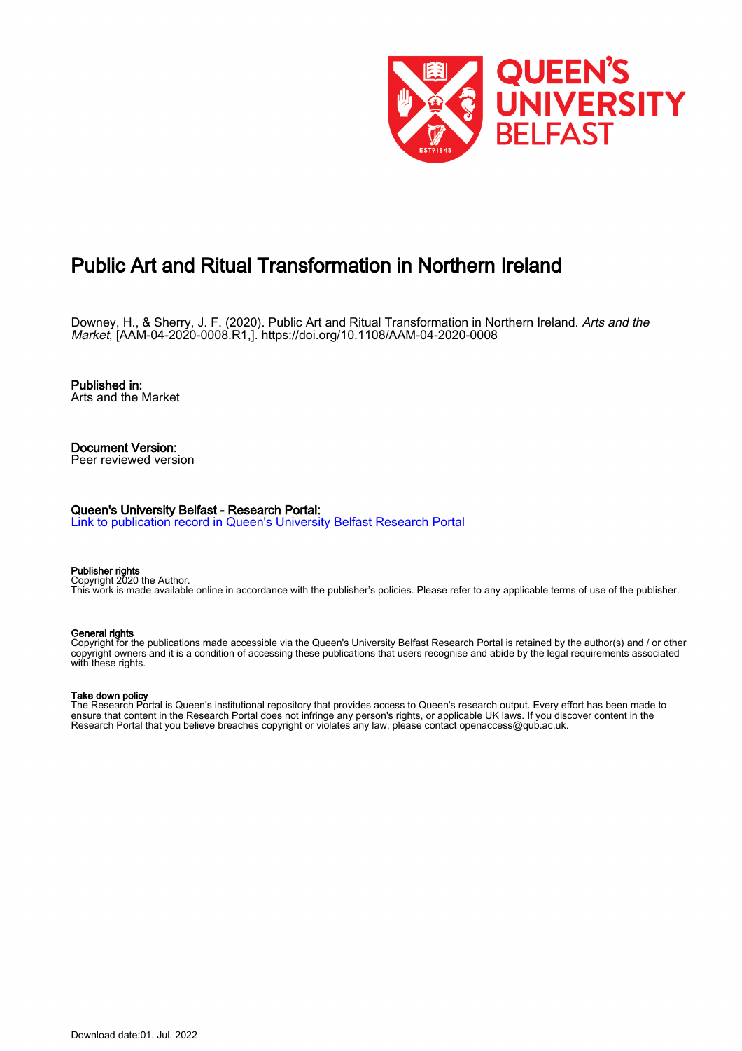

# Public Art and Ritual Transformation in Northern Ireland

Downey, H., & Sherry, J. F. (2020). Public Art and Ritual Transformation in Northern Ireland. Arts and the Market, [AAM-04-2020-0008.R1,]. <https://doi.org/10.1108/AAM-04-2020-0008>

Published in: Arts and the Market

#### Document Version: Peer reviewed version

#### Queen's University Belfast - Research Portal:

[Link to publication record in Queen's University Belfast Research Portal](https://pure.qub.ac.uk/en/publications/3a1373e7-0e84-4eed-bcc8-da24431bb119)

#### Publisher rights

Copyright 2020 the Author. This work is made available online in accordance with the publisher's policies. Please refer to any applicable terms of use of the publisher.

#### General rights

Copyright for the publications made accessible via the Queen's University Belfast Research Portal is retained by the author(s) and / or other copyright owners and it is a condition of accessing these publications that users recognise and abide by the legal requirements associated with these rights.

#### Take down policy

The Research Portal is Queen's institutional repository that provides access to Queen's research output. Every effort has been made to ensure that content in the Research Portal does not infringe any person's rights, or applicable UK laws. If you discover content in the Research Portal that you believe breaches copyright or violates any law, please contact openaccess@qub.ac.uk.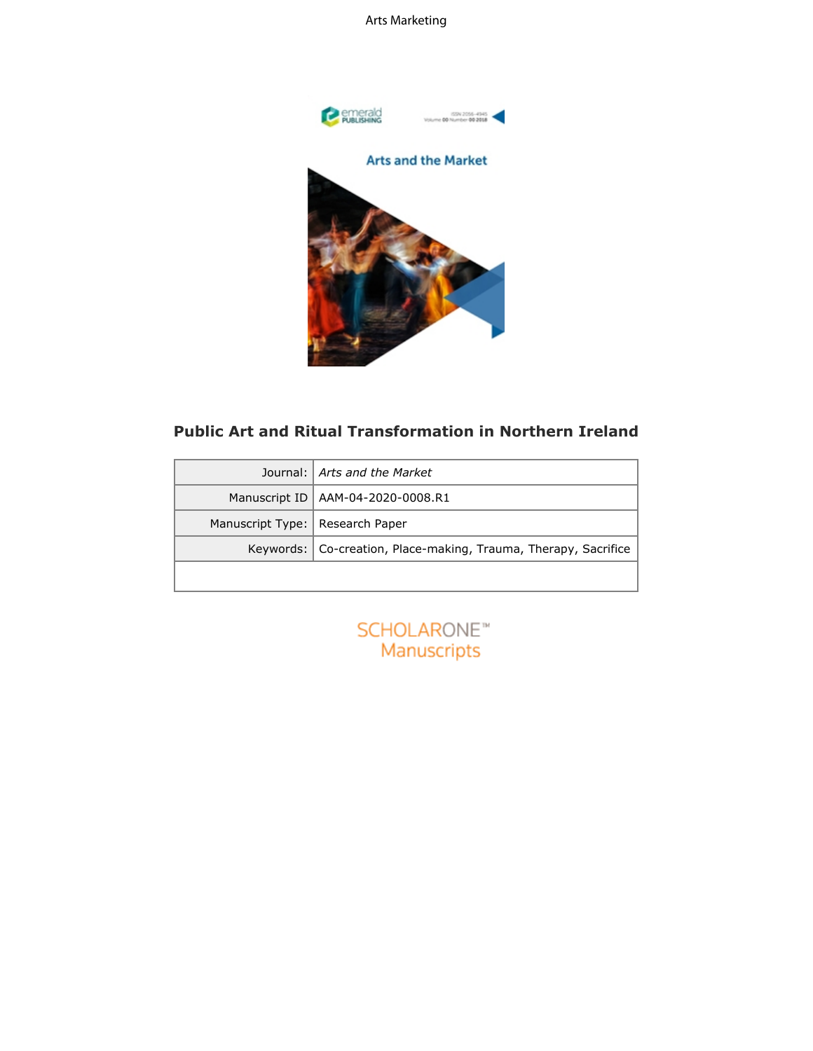Arts Marketing



# **Public Art and Ritual Transformation in Northern Ireland**

|                  | <b>Public Art and Ritual Transformation in Northern Ireland</b> |
|------------------|-----------------------------------------------------------------|
| lournal:         | Arts and the Market                                             |
| Manuscript ID    | AAM-04-2020-0008.R1                                             |
| Manuscript Type: | Research Paper                                                  |
| Keywords:        | Co-creation, Place-making, Trauma, Therapy, Sacrifice           |
|                  |                                                                 |
|                  | SCHOLARONE <sup>*</sup><br>Manuscripts                          |
|                  |                                                                 |

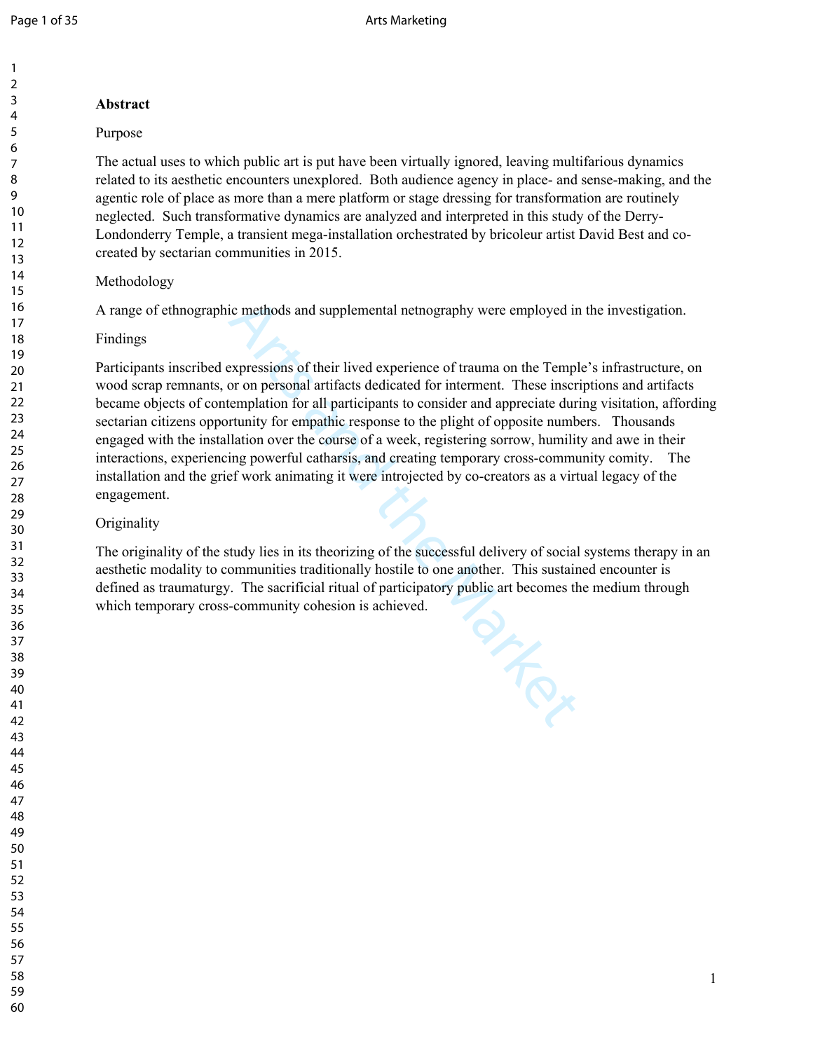# **Abstract**

# Purpose

The actual uses to which public art is put have been virtually ignored, leaving multifarious dynamics related to its aesthetic encounters unexplored. Both audience agency in place- and sense-making, and the agentic role of place as more than a mere platform or stage dressing for transformation are routinely neglected. Such transformative dynamics are analyzed and interpreted in this study of the Derry-Londonderry Temple, a transient mega-installation orchestrated by bricoleur artist David Best and cocreated by sectarian communities in 2015.

# Methodology

A range of ethnographic methods and supplemental netnography were employed in the investigation.

# Findings

ic methods and supplemental netnography were employed in<br>expressions of their lived experience of trauma on the Templ<br>or on personal artifacts dedicated for interment. These inscri-<br>templation for all participants to consi Participants inscribed expressions of their lived experience of trauma on the Temple's infrastructure, on wood scrap remnants, or on personal artifacts dedicated for interment. These inscriptions and artifacts became objects of contemplation for all participants to consider and appreciate during visitation, affording sectarian citizens opportunity for empathic response to the plight of opposite numbers. Thousands engaged with the installation over the course of a week, registering sorrow, humility and awe in their interactions, experiencing powerful catharsis, and creating temporary cross-community comity. The installation and the grief work animating it were introjected by co-creators as a virtual legacy of the engagement.

# **Originality**

The originality of the study lies in its theorizing of the successful delivery of social systems therapy in an aesthetic modality to communities traditionally hostile to one another. This sustained encounter is defined as traumaturgy. The sacrificial ritual of participatory public art becomes the medium through which temporary cross-community cohesion is achieved.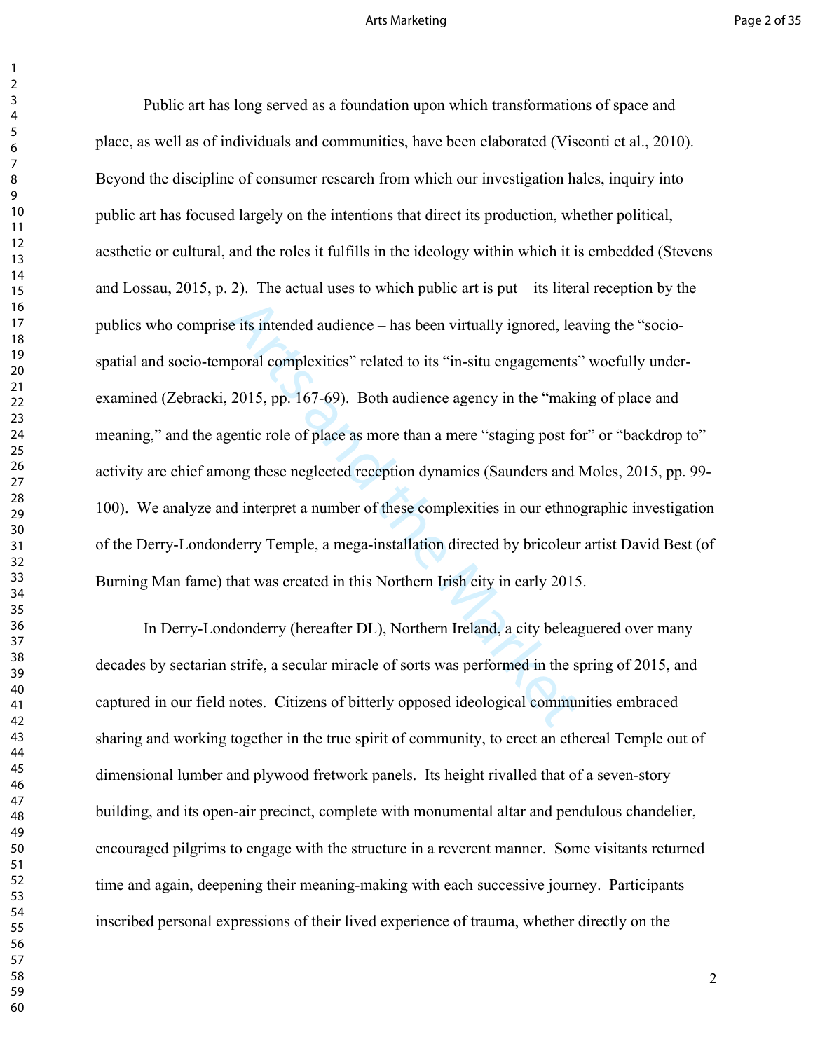# Arts Marketing **Page 2 of 35**

e its intended audience – has been virtually ignored, lea<br>aporal complexities" related to its "in-situ engagements"<br>2015, pp. 167-69). Both audience agency in the "maki<br>gentic role of place as more than a mere "staging pos Public art has long served as a foundation upon which transformations of space and place, as well as of individuals and communities, have been elaborated (Visconti et al., 2010). Beyond the discipline of consumer research from which our investigation hales, inquiry into public art has focused largely on the intentions that direct its production, whether political, aesthetic or cultural, and the roles it fulfills in the ideology within which it is embedded (Stevens and Lossau, 2015, p. 2). The actual uses to which public art is put – its literal reception by the publics who comprise its intended audience – has been virtually ignored, leaving the "sociospatial and socio-temporal complexities" related to its "in-situ engagements" woefully underexamined (Zebracki, 2015, pp. 167-69). Both audience agency in the "making of place and meaning," and the agentic role of place as more than a mere "staging post for" or "backdrop to" activity are chief among these neglected reception dynamics (Saunders and Moles, 2015, pp. 99- 100). We analyze and interpret a number of these complexities in our ethnographic investigation of the Derry-Londonderry Temple, a mega-installation directed by bricoleur artist David Best (of Burning Man fame) that was created in this Northern Irish city in early 2015.

In Derry-Londonderry (hereafter DL), Northern Ireland, a city beleaguered over many decades by sectarian strife, a secular miracle of sorts was performed in the spring of 2015, and captured in our field notes. Citizens of bitterly opposed ideological communities embraced sharing and working together in the true spirit of community, to erect an ethereal Temple out of dimensional lumber and plywood fretwork panels. Its height rivalled that of a seven-story building, and its open-air precinct, complete with monumental altar and pendulous chandelier, encouraged pilgrims to engage with the structure in a reverent manner. Some visitants returned time and again, deepening their meaning-making with each successive journey. Participants inscribed personal expressions of their lived experience of trauma, whether directly on the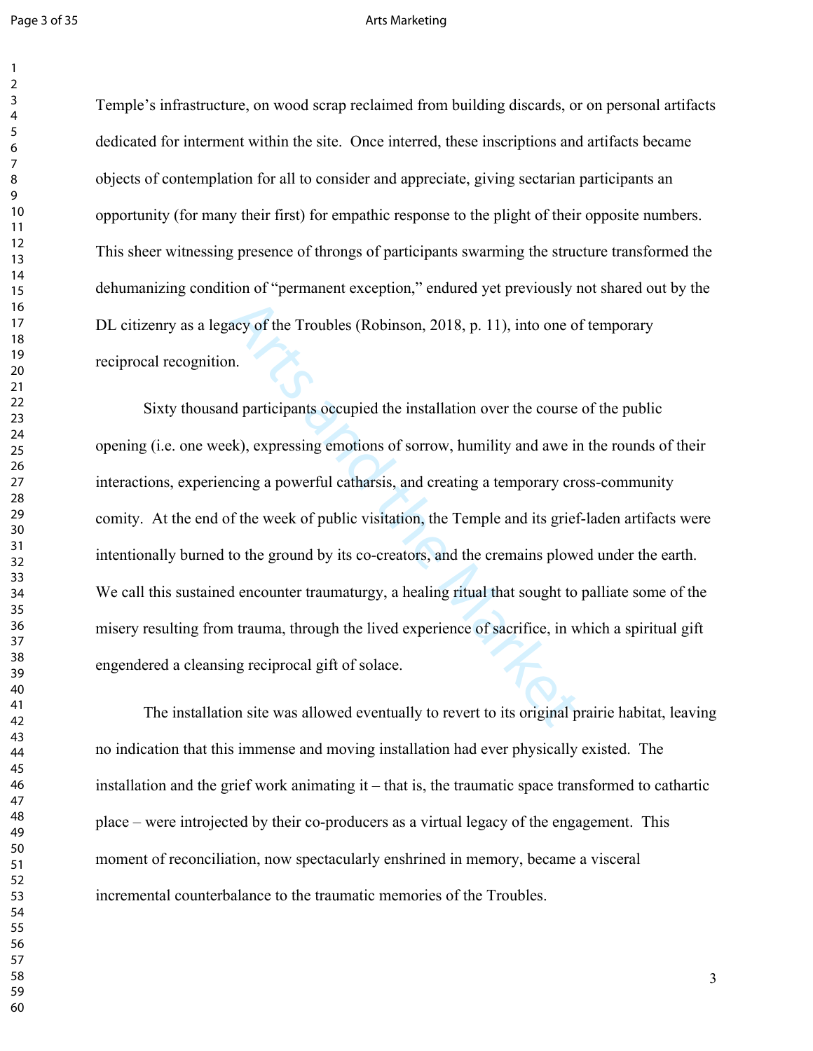# Page 3 of 35 Arts Marketing

Temple's infrastructure, on wood scrap reclaimed from building discards, or on personal artifacts dedicated for interment within the site. Once interred, these inscriptions and artifacts became objects of contemplation for all to consider and appreciate, giving sectarian participants an opportunity (for many their first) for empathic response to the plight of their opposite numbers. This sheer witnessing presence of throngs of participants swarming the structure transformed the dehumanizing condition of "permanent exception," endured yet previously not shared out by the DL citizenry as a legacy of the Troubles (Robinson, 2018, p. 11), into one of temporary reciprocal recognition.

acy of the Troubles (Robinson, 2018, p. 11), into one of<br>n.<br>n.<br>d participants occupied the installation over the course<br>kk), expressing emotions of sorrow, humility and awe in<br>neing a powerful catharsis, and creating a tem Sixty thousand participants occupied the installation over the course of the public opening (i.e. one week), expressing emotions of sorrow, humility and awe in the rounds of their interactions, experiencing a powerful catharsis, and creating a temporary cross-community comity. At the end of the week of public visitation, the Temple and its grief-laden artifacts were intentionally burned to the ground by its co-creators, and the cremains plowed under the earth. We call this sustained encounter traumaturgy, a healing ritual that sought to palliate some of the misery resulting from trauma, through the lived experience of sacrifice, in which a spiritual gift engendered a cleansing reciprocal gift of solace.

The installation site was allowed eventually to revert to its original prairie habitat, leaving no indication that this immense and moving installation had ever physically existed. The installation and the grief work animating it – that is, the traumatic space transformed to cathartic place – were introjected by their co-producers as a virtual legacy of the engagement. This moment of reconciliation, now spectacularly enshrined in memory, became a visceral incremental counterbalance to the traumatic memories of the Troubles.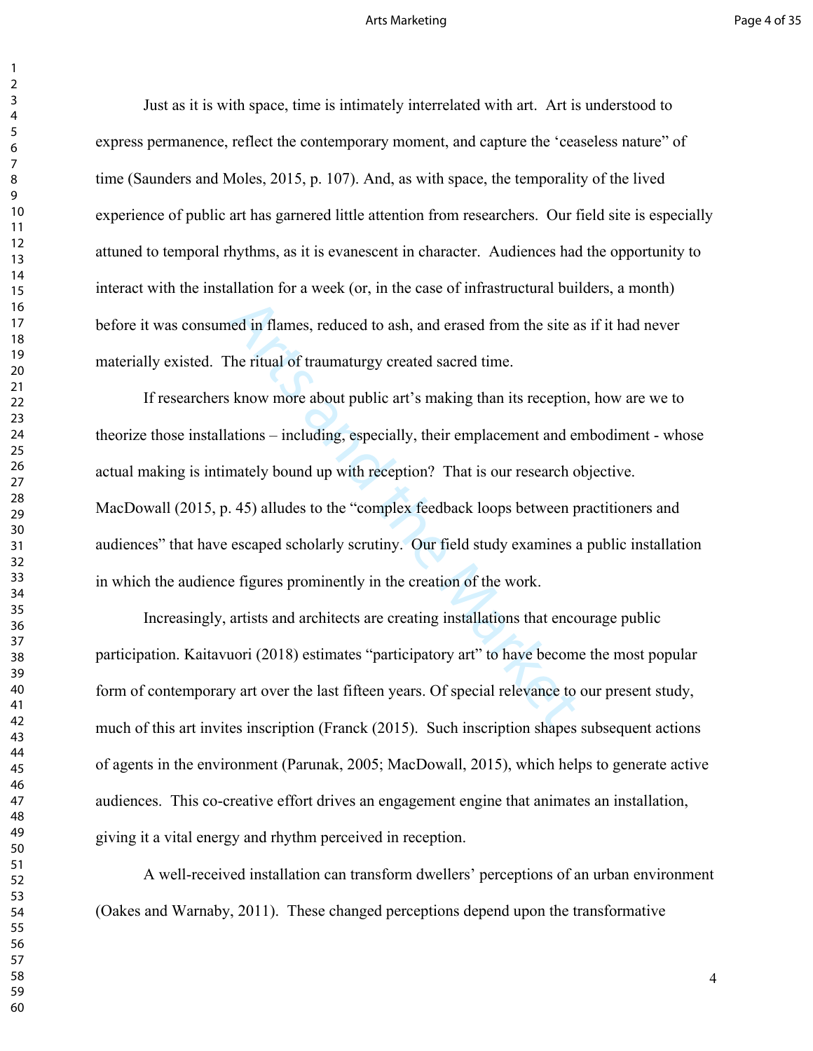# Arts Marketing **Page 4 of 35**

Just as it is with space, time is intimately interrelated with art. Art is understood to express permanence, reflect the contemporary moment, and capture the 'ceaseless nature" of time (Saunders and Moles, 2015, p. 107). And, as with space, the temporality of the lived experience of public art has garnered little attention from researchers. Our field site is especially attuned to temporal rhythms, as it is evanescent in character. Audiences had the opportunity to interact with the installation for a week (or, in the case of infrastructural builders, a month) before it was consumed in flames, reduced to ash, and erased from the site as if it had never materially existed. The ritual of traumaturgy created sacred time.

ned in flames, reduced to ash, and erased from the site a<br>
The ritual of traumaturgy created sacred time.<br>
Is know more about public art's making than its reception<br>
ations – including, especially, their emplacement and er If researchers know more about public art's making than its reception, how are we to theorize those installations – including, especially, their emplacement and embodiment - whose actual making is intimately bound up with reception? That is our research objective. MacDowall (2015, p. 45) alludes to the "complex feedback loops between practitioners and audiences" that have escaped scholarly scrutiny. Our field study examines a public installation in which the audience figures prominently in the creation of the work.

Increasingly, artists and architects are creating installations that encourage public participation. Kaitavuori (2018) estimates "participatory art" to have become the most popular form of contemporary art over the last fifteen years. Of special relevance to our present study, much of this art invites inscription (Franck (2015). Such inscription shapes subsequent actions of agents in the environment (Parunak, 2005; MacDowall, 2015), which helps to generate active audiences. This co-creative effort drives an engagement engine that animates an installation, giving it a vital energy and rhythm perceived in reception.

A well-received installation can transform dwellers' perceptions of an urban environment (Oakes and Warnaby, 2011). These changed perceptions depend upon the transformative

 $\mathbf{1}$  $\overline{2}$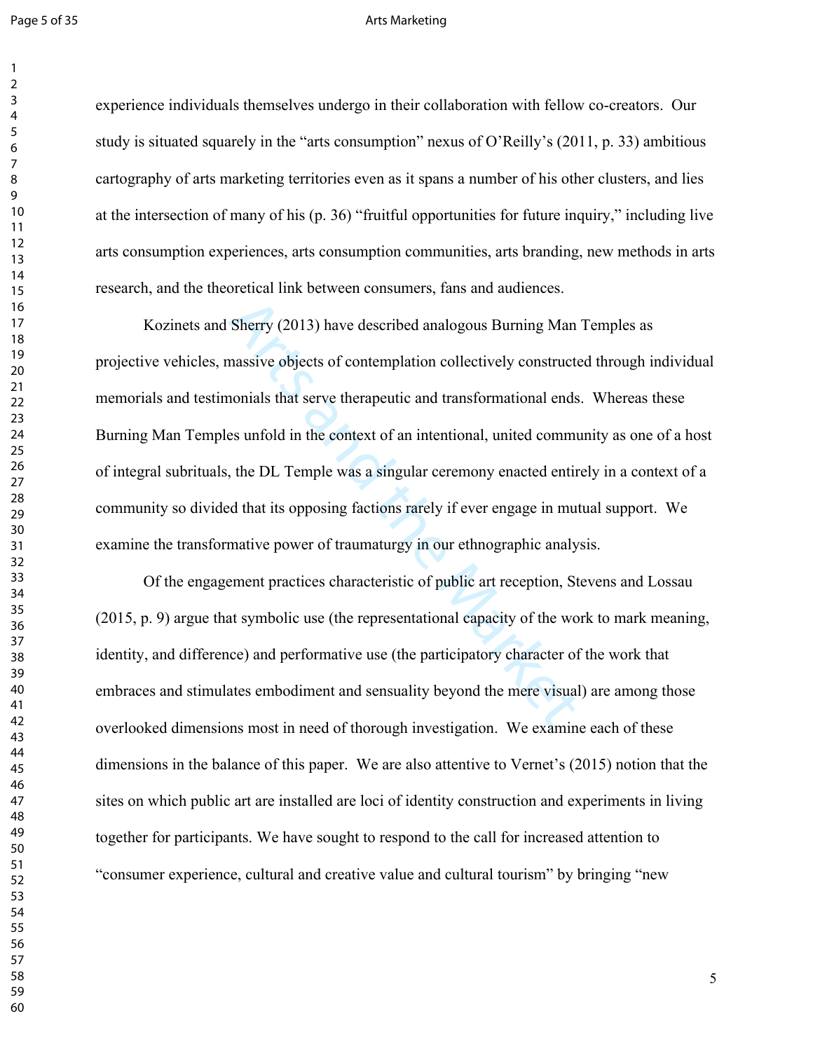$\mathbf{1}$ 

## Page 5 of 35 Arts Marketing

experience individuals themselves undergo in their collaboration with fellow co-creators. Our study is situated squarely in the "arts consumption" nexus of O'Reilly's (2011, p. 33) ambitious cartography of arts marketing territories even as it spans a number of his other clusters, and lies at the intersection of many of his (p. 36) "fruitful opportunities for future inquiry," including live arts consumption experiences, arts consumption communities, arts branding, new methods in arts research, and the theoretical link between consumers, fans and audiences.

Sherry (2013) have described analogous Burning Man<br>massive objects of contemplation collectively constructe<br>nonials that serve therapeutic and transformational ends<br>es unfold in the context of an intentional, united commu<br> Kozinets and Sherry (2013) have described analogous Burning Man Temples as projective vehicles, massive objects of contemplation collectively constructed through individual memorials and testimonials that serve therapeutic and transformational ends. Whereas these Burning Man Temples unfold in the context of an intentional, united community as one of a host of integral subrituals, the DL Temple was a singular ceremony enacted entirely in a context of a community so divided that its opposing factions rarely if ever engage in mutual support. We examine the transformative power of traumaturgy in our ethnographic analysis.

Of the engagement practices characteristic of public art reception, Stevens and Lossau (2015, p. 9) argue that symbolic use (the representational capacity of the work to mark meaning, identity, and difference) and performative use (the participatory character of the work that embraces and stimulates embodiment and sensuality beyond the mere visual) are among those overlooked dimensions most in need of thorough investigation. We examine each of these dimensions in the balance of this paper. We are also attentive to Vernet's (2015) notion that the sites on which public art are installed are loci of identity construction and experiments in living together for participants. We have sought to respond to the call for increased attention to "consumer experience, cultural and creative value and cultural tourism" by bringing "new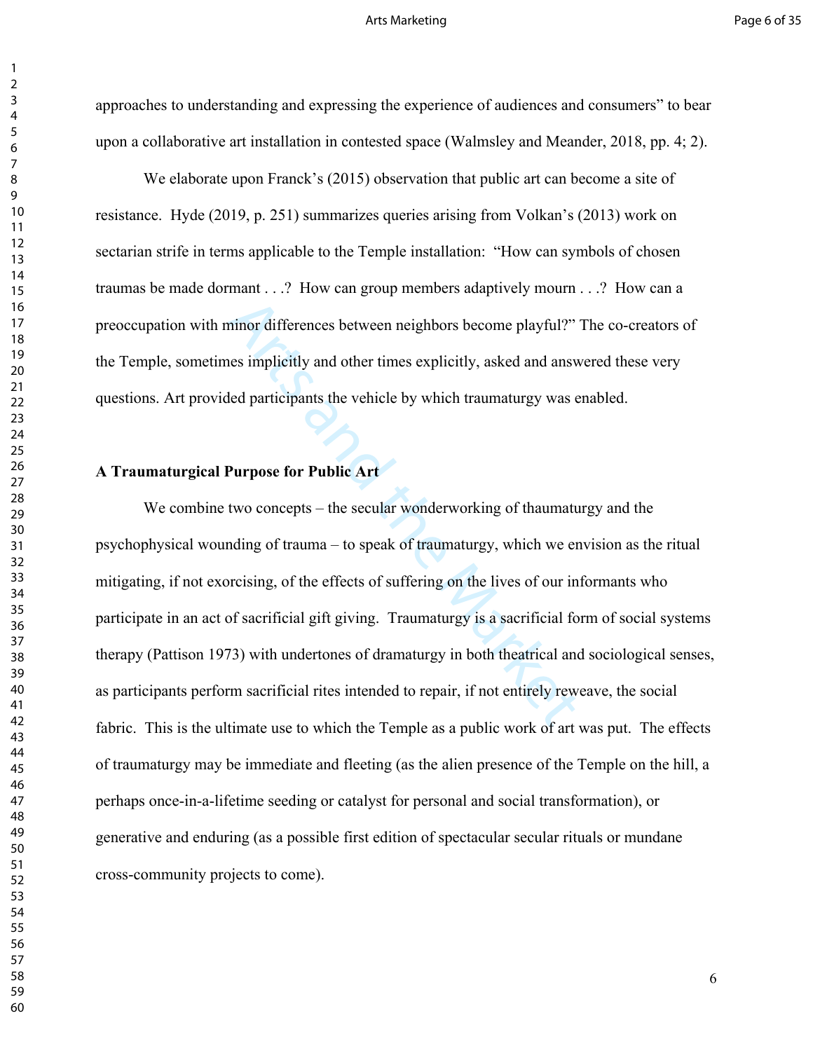# Arts Marketing **Page 6 of 35**

approaches to understanding and expressing the experience of audiences and consumers" to bear upon a collaborative art installation in contested space (Walmsley and Meander, 2018, pp. 4; 2).

We elaborate upon Franck's (2015) observation that public art can become a site of resistance. Hyde (2019, p. 251) summarizes queries arising from Volkan's (2013) work on sectarian strife in terms applicable to the Temple installation: "How can symbols of chosen traumas be made dormant . . .? How can group members adaptively mourn . . .? How can a preoccupation with minor differences between neighbors become playful?" The co-creators of the Temple, sometimes implicitly and other times explicitly, asked and answered these very questions. Art provided participants the vehicle by which traumaturgy was enabled.

# **A Traumaturgical Purpose for Public Art**

minor differences between neighbors become playful?"<br>
Nest implicitly and other times explicitly, asked and answered participants the vehicle by which traumaturgy was e<br>
Purpose for Public Art<br>
New concepts – the secular w We combine two concepts – the secular wonderworking of thaumaturgy and the psychophysical wounding of trauma – to speak of traumaturgy, which we envision as the ritual mitigating, if not exorcising, of the effects of suffering on the lives of our informants who participate in an act of sacrificial gift giving. Traumaturgy is a sacrificial form of social systems therapy (Pattison 1973) with undertones of dramaturgy in both theatrical and sociological senses, as participants perform sacrificial rites intended to repair, if not entirely reweave, the social fabric. This is the ultimate use to which the Temple as a public work of art was put. The effects of traumaturgy may be immediate and fleeting (as the alien presence of the Temple on the hill, a perhaps once-in-a-lifetime seeding or catalyst for personal and social transformation), or generative and enduring (as a possible first edition of spectacular secular rituals or mundane cross-community projects to come).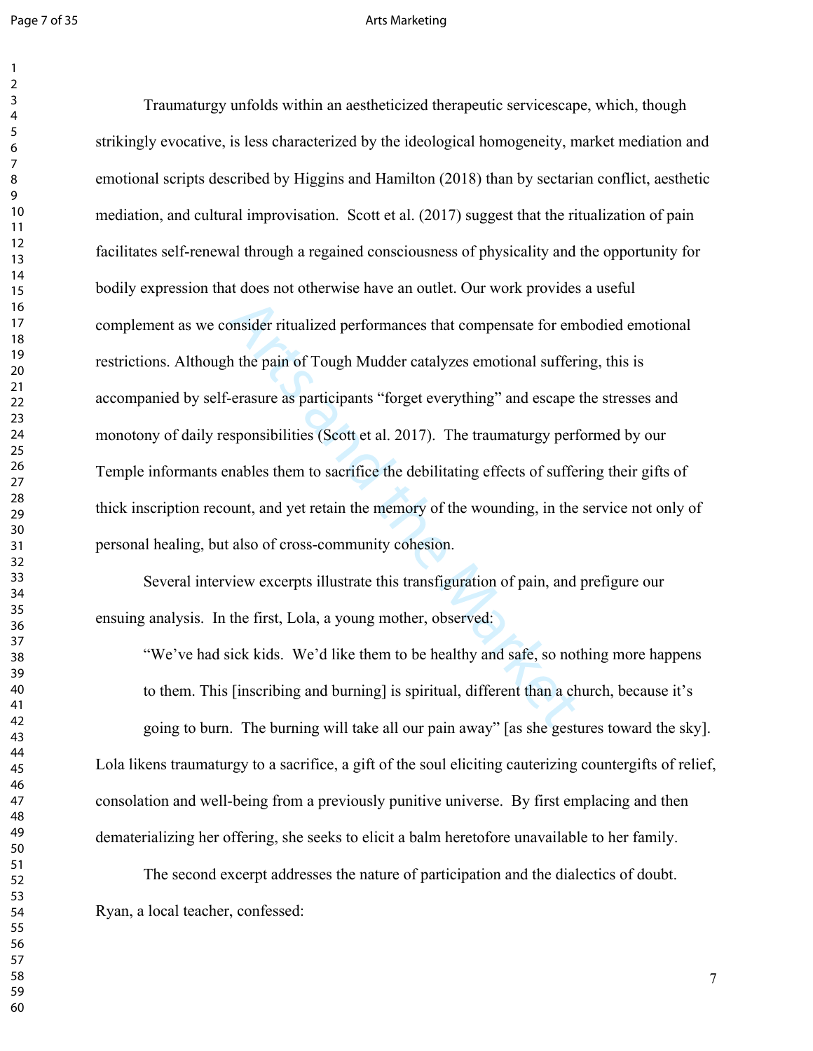$\mathbf{1}$  $\overline{2}$ 

# Page 7 of 35 Arts Marketing

onsider ritualized performances that compensate for em<br>h the pain of Tough Mudder catalyzes emotional sufferi-<br>erasure as participants "forget everything" and escape the<br>sponsibilities (Scott et al. 2017). The traumaturgy Traumaturgy unfolds within an aestheticized therapeutic servicescape, which, though strikingly evocative, is less characterized by the ideological homogeneity, market mediation and emotional scripts described by Higgins and Hamilton (2018) than by sectarian conflict, aesthetic mediation, and cultural improvisation. Scott et al. (2017) suggest that the ritualization of pain facilitates self-renewal through a regained consciousness of physicality and the opportunity for bodily expression that does not otherwise have an outlet. Our work provides a useful complement as we consider ritualized performances that compensate for embodied emotional restrictions. Although the pain of Tough Mudder catalyzes emotional suffering, this is accompanied by self-erasure as participants "forget everything" and escape the stresses and monotony of daily responsibilities (Scott et al. 2017). The traumaturgy performed by our Temple informants enables them to sacrifice the debilitating effects of suffering their gifts of thick inscription recount, and yet retain the memory of the wounding, in the service not only of personal healing, but also of cross-community cohesion.

Several interview excerpts illustrate this transfiguration of pain, and prefigure our ensuing analysis. In the first, Lola, a young mother, observed:

"We've had sick kids. We'd like them to be healthy and safe, so nothing more happens to them. This [inscribing and burning] is spiritual, different than a church, because it's going to burn. The burning will take all our pain away" [as she gestures toward the sky]. Lola likens traumaturgy to a sacrifice, a gift of the soul eliciting cauterizing countergifts of relief, consolation and well-being from a previously punitive universe. By first emplacing and then dematerializing her offering, she seeks to elicit a balm heretofore unavailable to her family.

The second excerpt addresses the nature of participation and the dialectics of doubt. Ryan, a local teacher, confessed: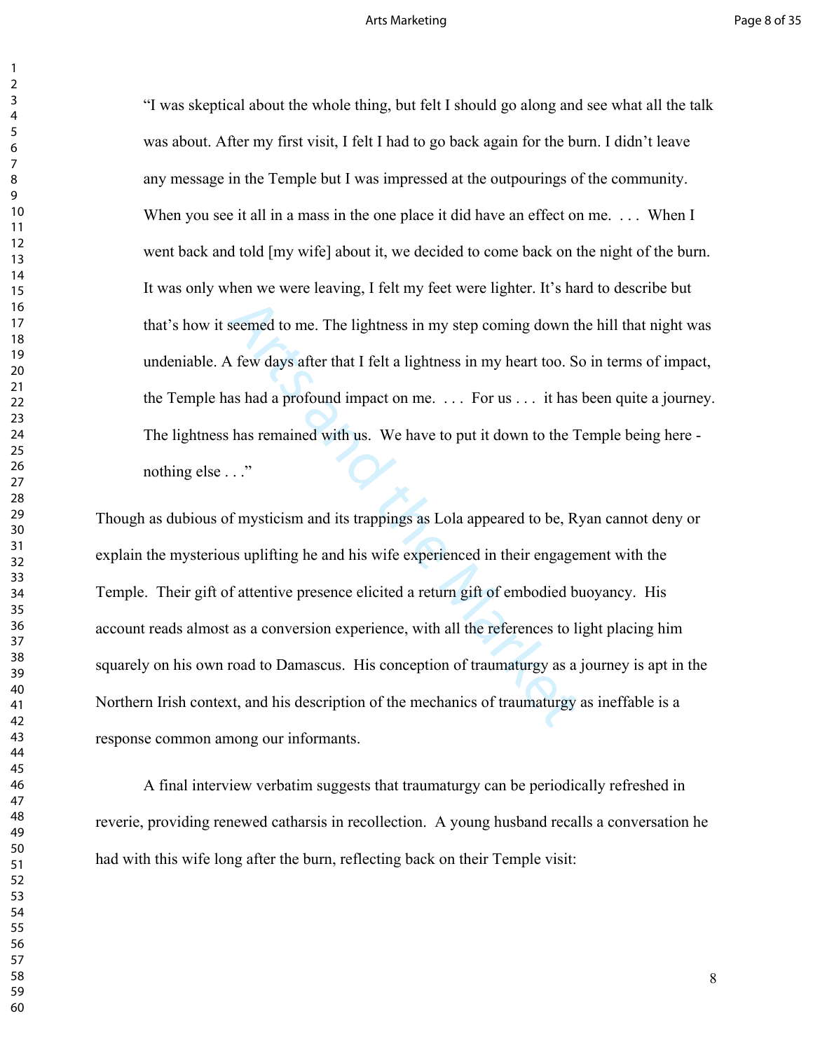# Arts Marketing **Page 8 of 35**

"I was skeptical about the whole thing, but felt I should go along and see what all the talk was about. After my first visit, I felt I had to go back again for the burn. I didn't leave any message in the Temple but I was impressed at the outpourings of the community. When you see it all in a mass in the one place it did have an effect on me. . . . When I went back and told [my wife] about it, we decided to come back on the night of the burn. It was only when we were leaving, I felt my feet were lighter. It's hard to describe but that's how it seemed to me. The lightness in my step coming down the hill that night was undeniable. A few days after that I felt a lightness in my heart too. So in terms of impact, the Temple has had a profound impact on me. . . . For us . . . it has been quite a journey. The lightness has remained with us. We have to put it down to the Temple being here nothing else . . ."

seemed to me. The lightness in my step coming down that few days after that I felt a lightness in my heart too. So as had a profound impact on me. ... For us ... it has has remained with us. We have to put it down to the T Though as dubious of mysticism and its trappings as Lola appeared to be, Ryan cannot deny or explain the mysterious uplifting he and his wife experienced in their engagement with the Temple. Their gift of attentive presence elicited a return gift of embodied buoyancy. His account reads almost as a conversion experience, with all the references to light placing him squarely on his own road to Damascus. His conception of traumaturgy as a journey is apt in the Northern Irish context, and his description of the mechanics of traumaturgy as ineffable is a response common among our informants.

A final interview verbatim suggests that traumaturgy can be periodically refreshed in reverie, providing renewed catharsis in recollection. A young husband recalls a conversation he had with this wife long after the burn, reflecting back on their Temple visit: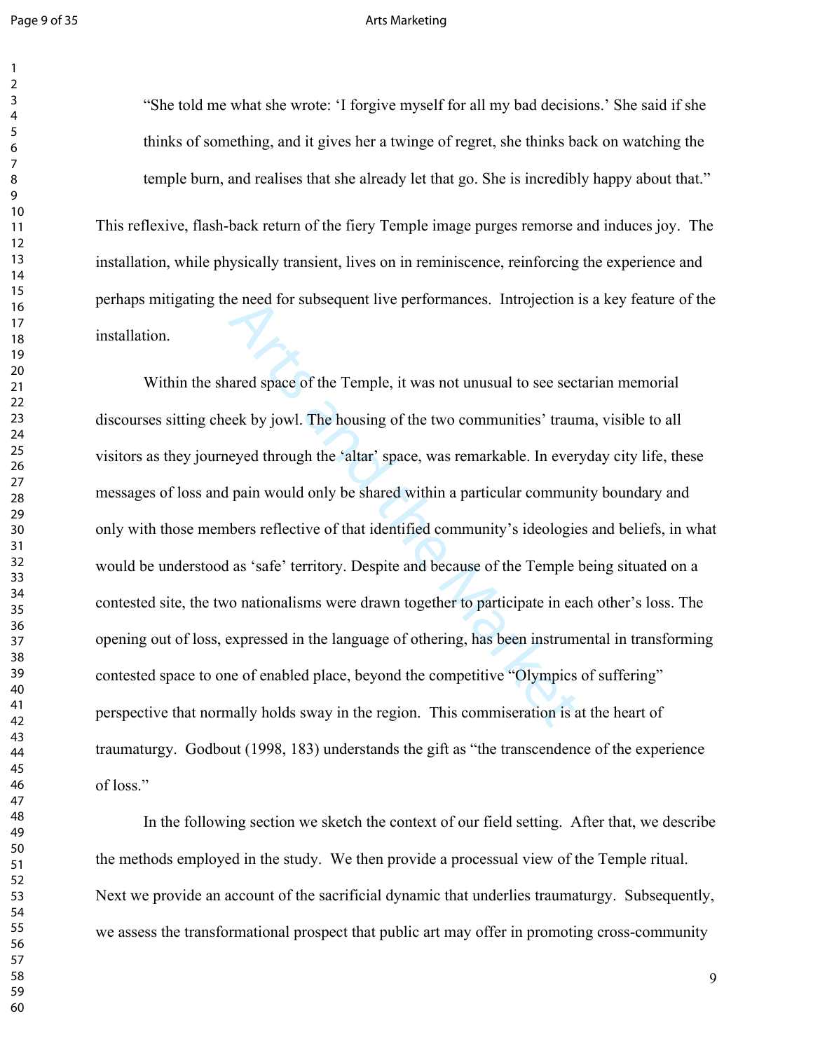# Page 9 of 35 Arts Marketing

"She told me what she wrote: 'I forgive myself for all my bad decisions.' She said if she thinks of something, and it gives her a twinge of regret, she thinks back on watching the temple burn, and realises that she already let that go. She is incredibly happy about that."

This reflexive, flash-back return of the fiery Temple image purges remorse and induces joy. The installation, while physically transient, lives on in reminiscence, reinforcing the experience and perhaps mitigating the need for subsequent live performances. Introjection is a key feature of the installation.

is a energy of the Temple, it was not unusual to see sect<br>ared space of the Temple, it was not unusual to see sect<br>eek by jowl. The housing of the two communities' traun<br>eyed through the 'altar' space, was remarkable. In e Within the shared space of the Temple, it was not unusual to see sectarian memorial discourses sitting cheek by jowl. The housing of the two communities' trauma, visible to all visitors as they journeyed through the 'altar' space, was remarkable. In everyday city life, these messages of loss and pain would only be shared within a particular community boundary and only with those members reflective of that identified community's ideologies and beliefs, in what would be understood as 'safe' territory. Despite and because of the Temple being situated on a contested site, the two nationalisms were drawn together to participate in each other's loss. The opening out of loss, expressed in the language of othering, has been instrumental in transforming contested space to one of enabled place, beyond the competitive "Olympics of suffering" perspective that normally holds sway in the region. This commiseration is at the heart of traumaturgy. Godbout (1998, 183) understands the gift as "the transcendence of the experience of loss."

In the following section we sketch the context of our field setting. After that, we describe the methods employed in the study. We then provide a processual view of the Temple ritual. Next we provide an account of the sacrificial dynamic that underlies traumaturgy. Subsequently, we assess the transformational prospect that public art may offer in promoting cross-community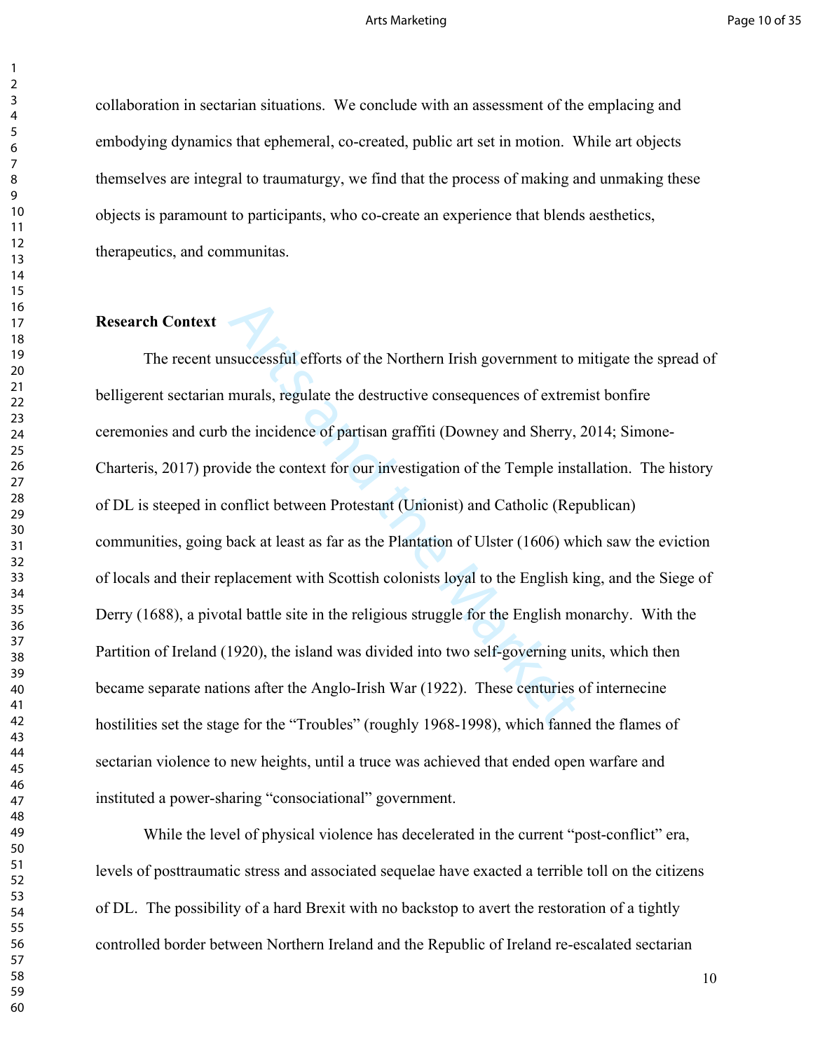collaboration in sectarian situations. We conclude with an assessment of the emplacing and embodying dynamics that ephemeral, co-created, public art set in motion. While art objects themselves are integral to traumaturgy, we find that the process of making and unmaking these objects is paramount to participants, who co-create an experience that blends aesthetics, therapeutics, and communitas.

# **Research Context**

Insuccessful efforts of the Northern Irish government to a<br>murals, regulate the destructive consequences of extrem<br>the incidence of partisan graffiti (Downey and Sherry,<br>vide the context for our investigation of the Temple The recent unsuccessful efforts of the Northern Irish government to mitigate the spread of belligerent sectarian murals, regulate the destructive consequences of extremist bonfire ceremonies and curb the incidence of partisan graffiti (Downey and Sherry, 2014; Simone-Charteris, 2017) provide the context for our investigation of the Temple installation. The history of DL is steeped in conflict between Protestant (Unionist) and Catholic (Republican) communities, going back at least as far as the Plantation of Ulster (1606) which saw the eviction of locals and their replacement with Scottish colonists loyal to the English king, and the Siege of Derry (1688), a pivotal battle site in the religious struggle for the English monarchy. With the Partition of Ireland (1920), the island was divided into two self-governing units, which then became separate nations after the Anglo-Irish War (1922). These centuries of internecine hostilities set the stage for the "Troubles" (roughly 1968-1998), which fanned the flames of sectarian violence to new heights, until a truce was achieved that ended open warfare and instituted a power-sharing "consociational" government.

While the level of physical violence has decelerated in the current "post-conflict" era, levels of posttraumatic stress and associated sequelae have exacted a terrible toll on the citizens of DL. The possibility of a hard Brexit with no backstop to avert the restoration of a tightly controlled border between Northern Ireland and the Republic of Ireland re-escalated sectarian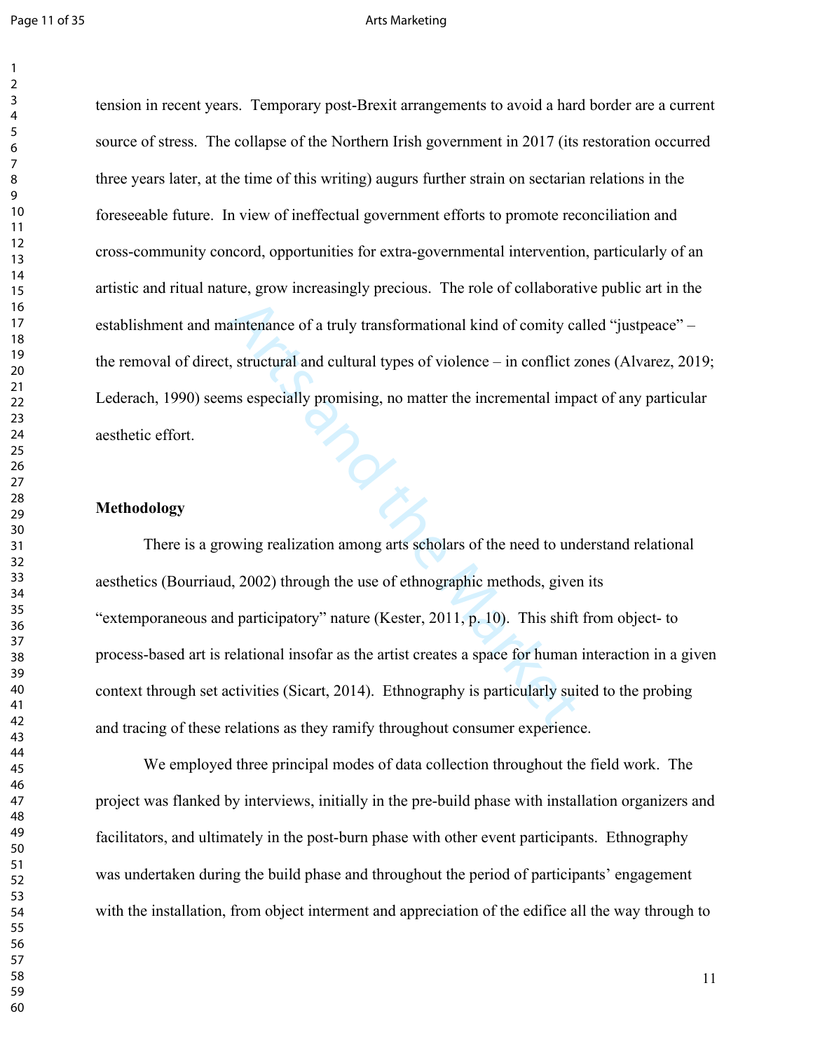$\mathbf{1}$ 

## Page 11 of 35 Arts Marketing

tension in recent years. Temporary post-Brexit arrangements to avoid a hard border are a current source of stress. The collapse of the Northern Irish government in 2017 (its restoration occurred three years later, at the time of this writing) augurs further strain on sectarian relations in the foreseeable future. In view of ineffectual government efforts to promote reconciliation and cross-community concord, opportunities for extra-governmental intervention, particularly of an artistic and ritual nature, grow increasingly precious. The role of collaborative public art in the establishment and maintenance of a truly transformational kind of comity called "justpeace" – the removal of direct, structural and cultural types of violence – in conflict zones (Alvarez, 2019; Lederach, 1990) seems especially promising, no matter the incremental impact of any particular aesthetic effort.

# **Methodology**

Example and cultural types of violence – in conflict z<br>
at a structural and cultural types of violence – in conflict z<br>
and sepecially promising, no matter the incremental impare<br>
sepecially promising, no matter the increm There is a growing realization among arts scholars of the need to understand relational aesthetics (Bourriaud, 2002) through the use of ethnographic methods, given its "extemporaneous and participatory" nature (Kester, 2011, p. 10). This shift from object- to process-based art is relational insofar as the artist creates a space for human interaction in a given context through set activities (Sicart, 2014). Ethnography is particularly suited to the probing and tracing of these relations as they ramify throughout consumer experience.

We employed three principal modes of data collection throughout the field work. The project was flanked by interviews, initially in the pre-build phase with installation organizers and facilitators, and ultimately in the post-burn phase with other event participants. Ethnography was undertaken during the build phase and throughout the period of participants' engagement with the installation, from object interment and appreciation of the edifice all the way through to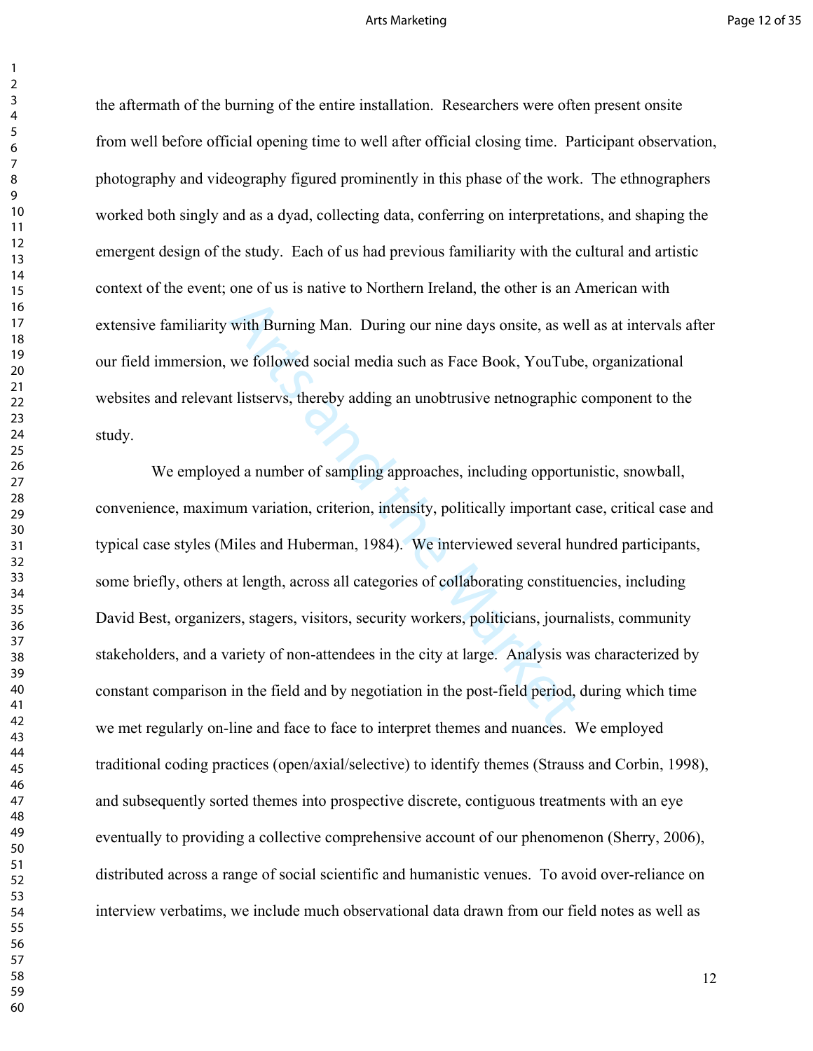the aftermath of the burning of the entire installation. Researchers were often present onsite from well before official opening time to well after official closing time. Participant observation, photography and videography figured prominently in this phase of the work. The ethnographers worked both singly and as a dyad, collecting data, conferring on interpretations, and shaping the emergent design of the study. Each of us had previous familiarity with the cultural and artistic context of the event; one of us is native to Northern Ireland, the other is an American with extensive familiarity with Burning Man. During our nine days onsite, as well as at intervals after our field immersion, we followed social media such as Face Book, YouTube, organizational websites and relevant listservs, thereby adding an unobtrusive netnographic component to the study.

with Burning Man. During our nine days onsite, as we<br>we followed social media such as Face Book, YouTube<br>t listservs, thereby adding an unobtrusive netnographic<br>ed a number of sampling approaches, including opportu<br>um vari We employed a number of sampling approaches, including opportunistic, snowball, convenience, maximum variation, criterion, intensity, politically important case, critical case and typical case styles (Miles and Huberman, 1984). We interviewed several hundred participants, some briefly, others at length, across all categories of collaborating constituencies, including David Best, organizers, stagers, visitors, security workers, politicians, journalists, community stakeholders, and a variety of non-attendees in the city at large. Analysis was characterized by constant comparison in the field and by negotiation in the post-field period, during which time we met regularly on-line and face to face to interpret themes and nuances. We employed traditional coding practices (open/axial/selective) to identify themes (Strauss and Corbin, 1998), and subsequently sorted themes into prospective discrete, contiguous treatments with an eye eventually to providing a collective comprehensive account of our phenomenon (Sherry, 2006), distributed across a range of social scientific and humanistic venues. To avoid over-reliance on interview verbatims, we include much observational data drawn from our field notes as well as

 $\mathbf{1}$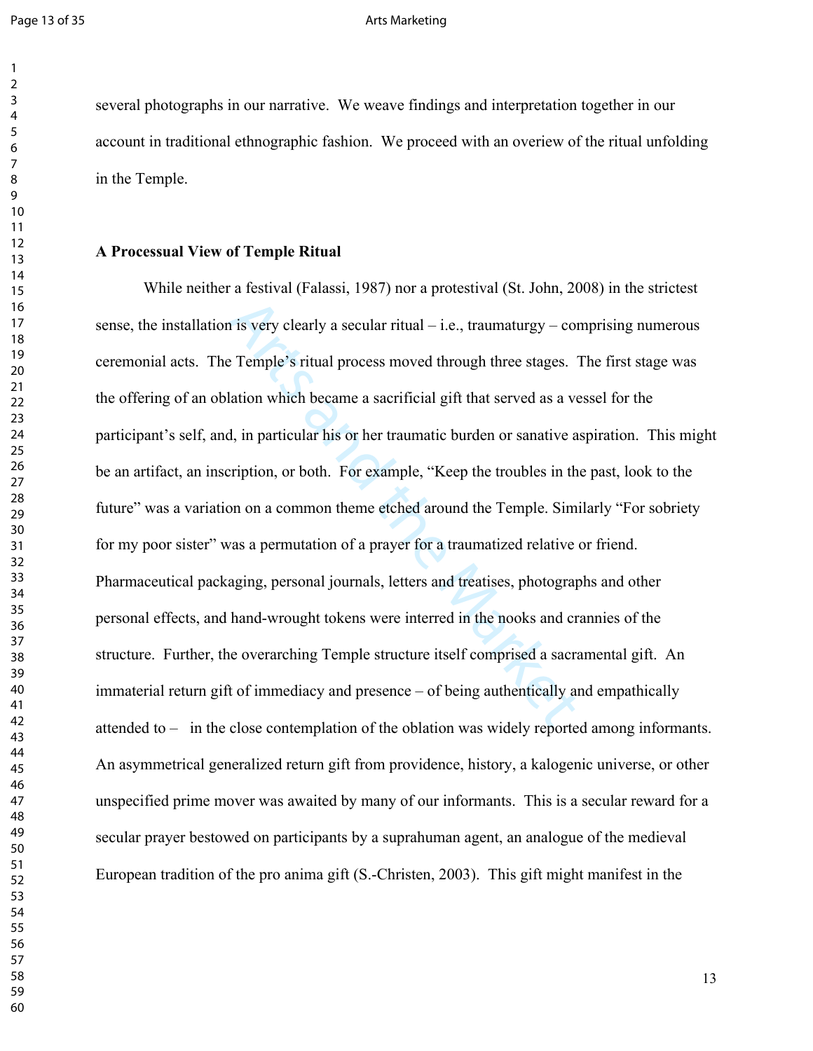$\mathbf{1}$  $\overline{2}$ 

# Page 13 of 35 Arts Marketing

several photographs in our narrative. We weave findings and interpretation together in our account in traditional ethnographic fashion. We proceed with an overiew of the ritual unfolding in the Temple.

# **A Processual View of Temple Ritual**

is very clearly a secular ritual – i.e., traumaturgy – corear temple's ritual process moved through three stages. That<br>ion which became a sacrificial gift that served as a very division, or both. For example, "Keep the tr While neither a festival (Falassi, 1987) nor a protestival (St. John, 2008) in the strictest sense, the installation is very clearly a secular ritual  $-$  i.e., traumaturgy – comprising numerous ceremonial acts. The Temple's ritual process moved through three stages. The first stage was the offering of an oblation which became a sacrificial gift that served as a vessel for the participant's self, and, in particular his or her traumatic burden or sanative aspiration. This might be an artifact, an inscription, or both. For example, "Keep the troubles in the past, look to the future" was a variation on a common theme etched around the Temple. Similarly "For sobriety for my poor sister" was a permutation of a prayer for a traumatized relative or friend. Pharmaceutical packaging, personal journals, letters and treatises, photographs and other personal effects, and hand-wrought tokens were interred in the nooks and crannies of the structure. Further, the overarching Temple structure itself comprised a sacramental gift. An immaterial return gift of immediacy and presence – of being authentically and empathically attended to – in the close contemplation of the oblation was widely reported among informants. An asymmetrical generalized return gift from providence, history, a kalogenic universe, or other unspecified prime mover was awaited by many of our informants. This is a secular reward for a secular prayer bestowed on participants by a suprahuman agent, an analogue of the medieval European tradition of the pro anima gift (S.-Christen, 2003). This gift might manifest in the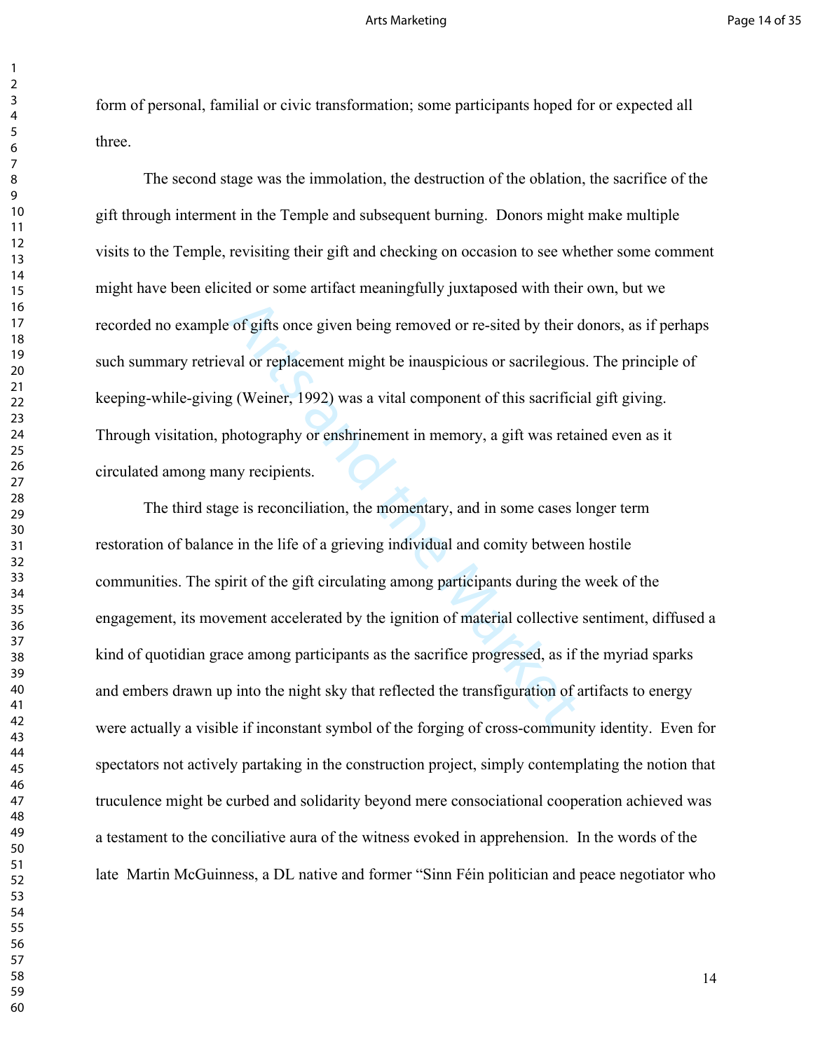form of personal, familial or civic transformation; some participants hoped for or expected all three.

The second stage was the immolation, the destruction of the oblation, the sacrifice of the gift through interment in the Temple and subsequent burning. Donors might make multiple visits to the Temple, revisiting their gift and checking on occasion to see whether some comment might have been elicited or some artifact meaningfully juxtaposed with their own, but we recorded no example of gifts once given being removed or re-sited by their donors, as if perhaps such summary retrieval or replacement might be inauspicious or sacrilegious. The principle of keeping-while-giving (Weiner, 1992) was a vital component of this sacrificial gift giving. Through visitation, photography or enshrinement in memory, a gift was retained even as it circulated among many recipients.

of gifts once given being removed or re-sited by their comparison of the matter of this sacrificity (Weiner, 1992) was a vital component of this sacrificity and the Marketten of the Marketten of the Sacrificity chotography The third stage is reconciliation, the momentary, and in some cases longer term restoration of balance in the life of a grieving individual and comity between hostile communities. The spirit of the gift circulating among participants during the week of the engagement, its movement accelerated by the ignition of material collective sentiment, diffused a kind of quotidian grace among participants as the sacrifice progressed, as if the myriad sparks and embers drawn up into the night sky that reflected the transfiguration of artifacts to energy were actually a visible if inconstant symbol of the forging of cross-community identity. Even for spectators not actively partaking in the construction project, simply contemplating the notion that truculence might be curbed and solidarity beyond mere consociational cooperation achieved was a testament to the conciliative aura of the witness evoked in apprehension. In the words of the late Martin McGuinness, a DL native and former "Sinn Féin politician and peace negotiator who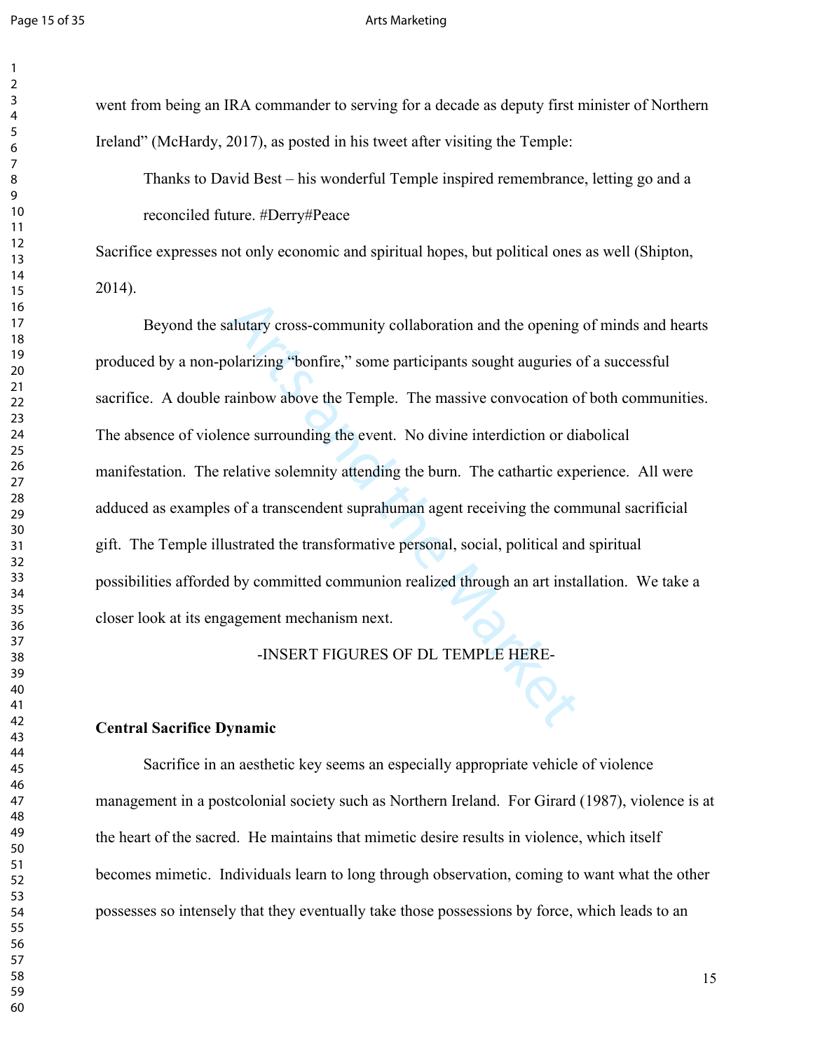$\mathbf{1}$ 

#### Page 15 of 35 Arts Marketing

went from being an IRA commander to serving for a decade as deputy first minister of Northern Ireland" (McHardy, 2017), as posted in his tweet after visiting the Temple:

Thanks to David Best – his wonderful Temple inspired remembrance, letting go and a reconciled future. #Derry#Peace

Sacrifice expresses not only economic and spiritual hopes, but political ones as well (Shipton, 2014).

alutary cross-community collaboration and the opening<br>olarizing "bonfire," some participants sought auguries c<br>ainbow above the Temple. The massive convocation of<br>nee surrounding the event. No divine interdiction or dia-<br>e Beyond the salutary cross-community collaboration and the opening of minds and hearts produced by a non-polarizing "bonfire," some participants sought auguries of a successful sacrifice. A double rainbow above the Temple. The massive convocation of both communities. The absence of violence surrounding the event. No divine interdiction or diabolical manifestation. The relative solemnity attending the burn. The cathartic experience. All were adduced as examples of a transcendent suprahuman agent receiving the communal sacrificial gift. The Temple illustrated the transformative personal, social, political and spiritual possibilities afforded by committed communion realized through an art installation. We take a closer look at its engagement mechanism next.

# -INSERT FIGURES OF DL TEMPLE HERE-

# **Central Sacrifice Dynamic**

Sacrifice in an aesthetic key seems an especially appropriate vehicle of violence management in a postcolonial society such as Northern Ireland. For Girard (1987), violence is at the heart of the sacred. He maintains that mimetic desire results in violence, which itself becomes mimetic. Individuals learn to long through observation, coming to want what the other possesses so intensely that they eventually take those possessions by force, which leads to an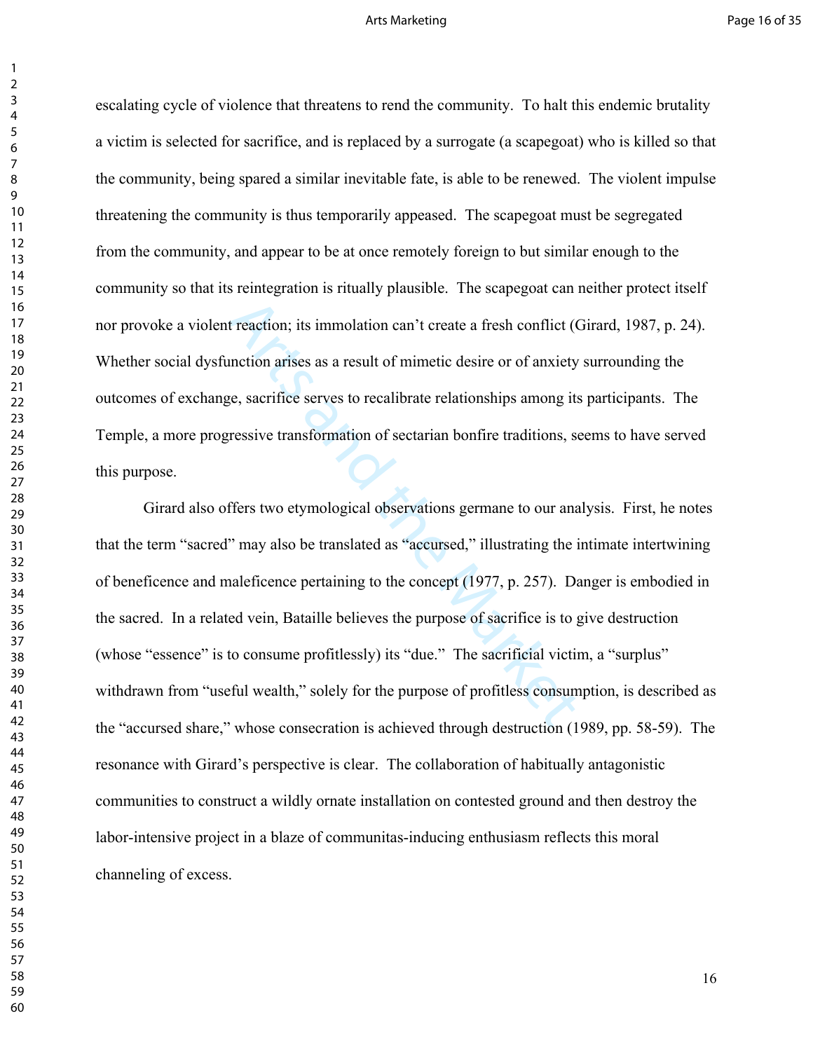$\mathbf{1}$ 

escalating cycle of violence that threatens to rend the community. To halt this endemic brutality a victim is selected for sacrifice, and is replaced by a surrogate (a scapegoat) who is killed so that the community, being spared a similar inevitable fate, is able to be renewed. The violent impulse threatening the community is thus temporarily appeased. The scapegoat must be segregated from the community, and appear to be at once remotely foreign to but similar enough to the community so that its reintegration is ritually plausible. The scapegoat can neither protect itself nor provoke a violent reaction; its immolation can't create a fresh conflict (Girard, 1987, p. 24). Whether social dysfunction arises as a result of mimetic desire or of anxiety surrounding the outcomes of exchange, sacrifice serves to recalibrate relationships among its participants. The Temple, a more progressive transformation of sectarian bonfire traditions, seems to have served this purpose.

It reaction; its immolation can't create a fresh conflict (C<br>
unction arises as a result of mimetic desire or of anxiety<br>
ge, sacrifice serves to recalibrate relationships among its<br>
generation of sectarian bonfire traditi Girard also offers two etymological observations germane to our analysis. First, he notes that the term "sacred" may also be translated as "accursed," illustrating the intimate intertwining of beneficence and maleficence pertaining to the concept (1977, p. 257). Danger is embodied in the sacred. In a related vein, Bataille believes the purpose of sacrifice is to give destruction (whose "essence" is to consume profitlessly) its "due." The sacrificial victim, a "surplus" withdrawn from "useful wealth," solely for the purpose of profitless consumption, is described as the "accursed share," whose consecration is achieved through destruction (1989, pp. 58-59). The resonance with Girard's perspective is clear. The collaboration of habitually antagonistic communities to construct a wildly ornate installation on contested ground and then destroy the labor-intensive project in a blaze of communitas-inducing enthusiasm reflects this moral channeling of excess.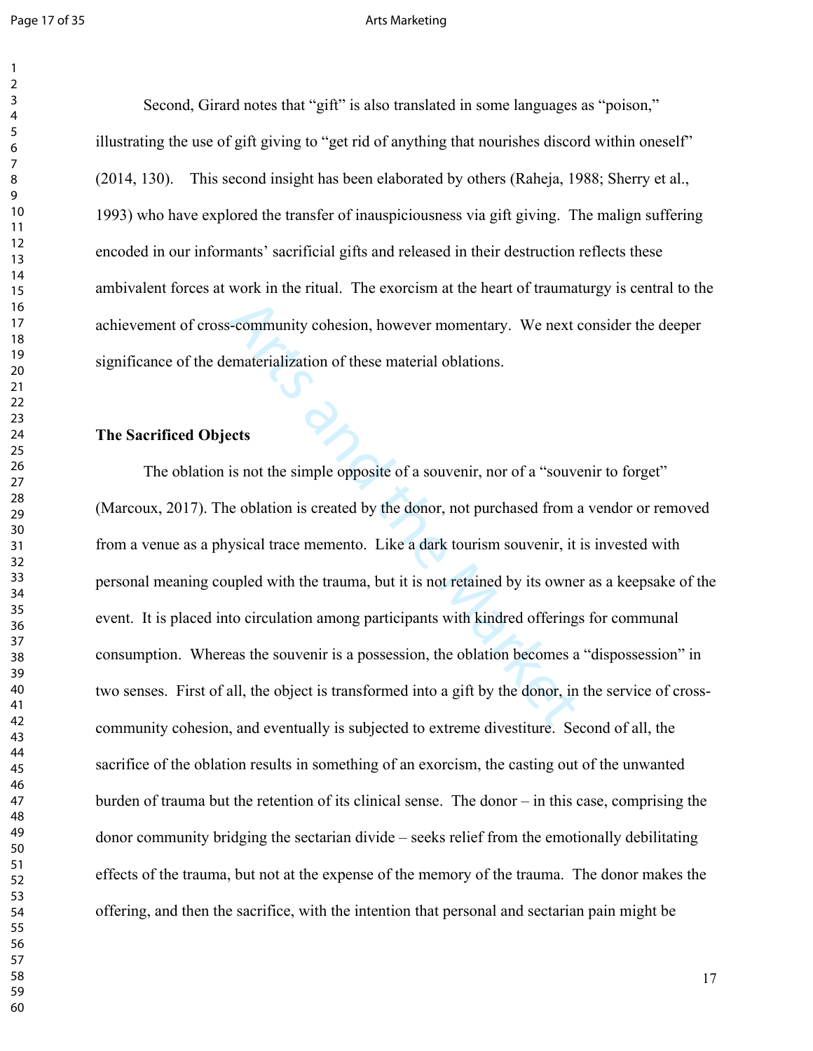$\mathbf{1}$  $\overline{2}$ 

## Page 17 of 35 Arts Marketing

Second, Girard notes that "gift" is also translated in some languages as "poison," illustrating the use of gift giving to "get rid of anything that nourishes discord within oneself" (2014, 130). This second insight has been elaborated by others (Raheja, 1988; Sherry et al., 1993) who have explored the transfer of inauspiciousness via gift giving. The malign suffering encoded in our informants' sacrificial gifts and released in their destruction reflects these ambivalent forces at work in the ritual. The exorcism at the heart of traumaturgy is central to the achievement of cross-community cohesion, however momentary. We next consider the deeper significance of the dematerialization of these material oblations.

# **The Sacrificed Objects**

Exercise in the simple opposite of a souvenir, we next dematerialization of these material oblations.<br>
Sections are a set of a souvenir, nor of a "souver e oblation is created by the donor, not purchased from a sysical tra The oblation is not the simple opposite of a souvenir, nor of a "souvenir to forget" (Marcoux, 2017). The oblation is created by the donor, not purchased from a vendor or removed from a venue as a physical trace memento. Like a dark tourism souvenir, it is invested with personal meaning coupled with the trauma, but it is not retained by its owner as a keepsake of the event. It is placed into circulation among participants with kindred offerings for communal consumption. Whereas the souvenir is a possession, the oblation becomes a "dispossession" in two senses. First of all, the object is transformed into a gift by the donor, in the service of crosscommunity cohesion, and eventually is subjected to extreme divestiture. Second of all, the sacrifice of the oblation results in something of an exorcism, the casting out of the unwanted burden of trauma but the retention of its clinical sense. The donor – in this case, comprising the donor community bridging the sectarian divide – seeks relief from the emotionally debilitating effects of the trauma, but not at the expense of the memory of the trauma. The donor makes the offering, and then the sacrifice, with the intention that personal and sectarian pain might be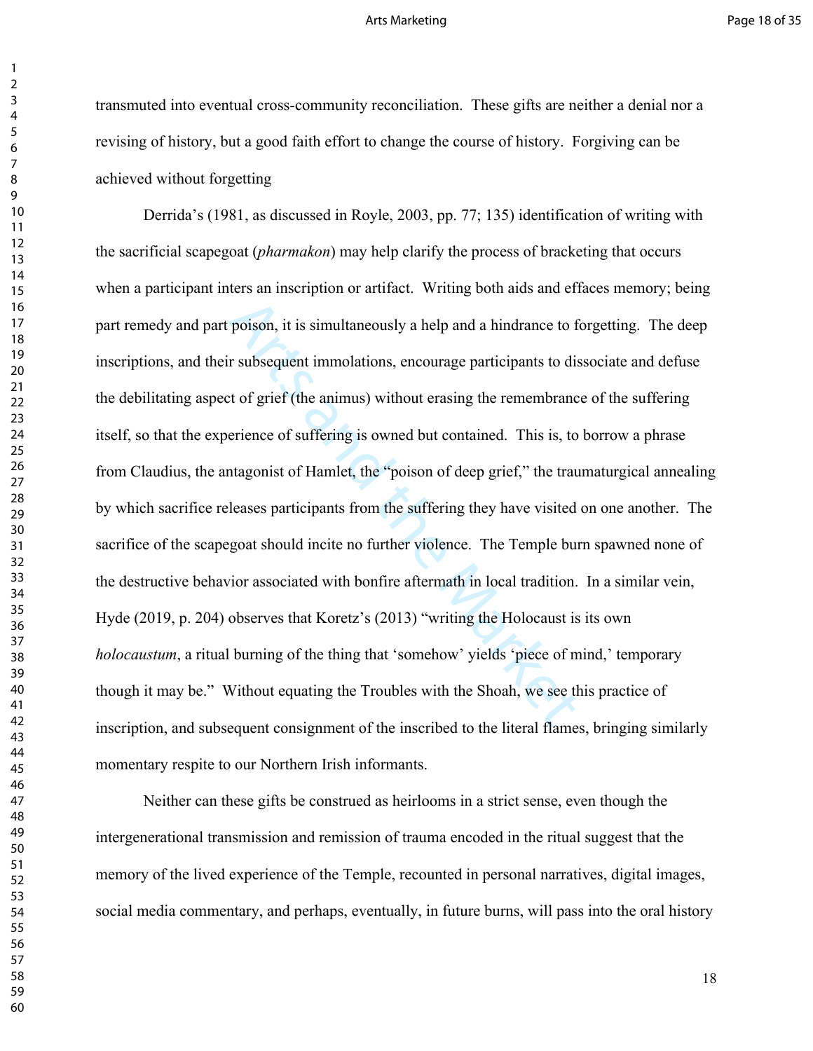transmuted into eventual cross-community reconciliation. These gifts are neither a denial nor a revising of history, but a good faith effort to change the course of history. Forgiving can be achieved without forgetting

poison, it is simultaneously a help and a hindrance to for subsequent immolations, encourage participants to dise to f grief (the animus) without erasing the remembrance erience of suffering is owned but contained. This is Derrida's (1981, as discussed in Royle, 2003, pp. 77; 135) identification of writing with the sacrificial scapegoat (*pharmakon*) may help clarify the process of bracketing that occurs when a participant inters an inscription or artifact. Writing both aids and effaces memory; being part remedy and part poison, it is simultaneously a help and a hindrance to forgetting. The deep inscriptions, and their subsequent immolations, encourage participants to dissociate and defuse the debilitating aspect of grief (the animus) without erasing the remembrance of the suffering itself, so that the experience of suffering is owned but contained. This is, to borrow a phrase from Claudius, the antagonist of Hamlet, the "poison of deep grief," the traumaturgical annealing by which sacrifice releases participants from the suffering they have visited on one another. The sacrifice of the scapegoat should incite no further violence. The Temple burn spawned none of the destructive behavior associated with bonfire aftermath in local tradition. In a similar vein, Hyde (2019, p. 204) observes that Koretz's (2013) "writing the Holocaust is its own *holocaustum*, a ritual burning of the thing that 'somehow' yields 'piece of mind,' temporary though it may be." Without equating the Troubles with the Shoah, we see this practice of inscription, and subsequent consignment of the inscribed to the literal flames, bringing similarly momentary respite to our Northern Irish informants.

Neither can these gifts be construed as heirlooms in a strict sense, even though the intergenerational transmission and remission of trauma encoded in the ritual suggest that the memory of the lived experience of the Temple, recounted in personal narratives, digital images, social media commentary, and perhaps, eventually, in future burns, will pass into the oral history

 $\mathbf{1}$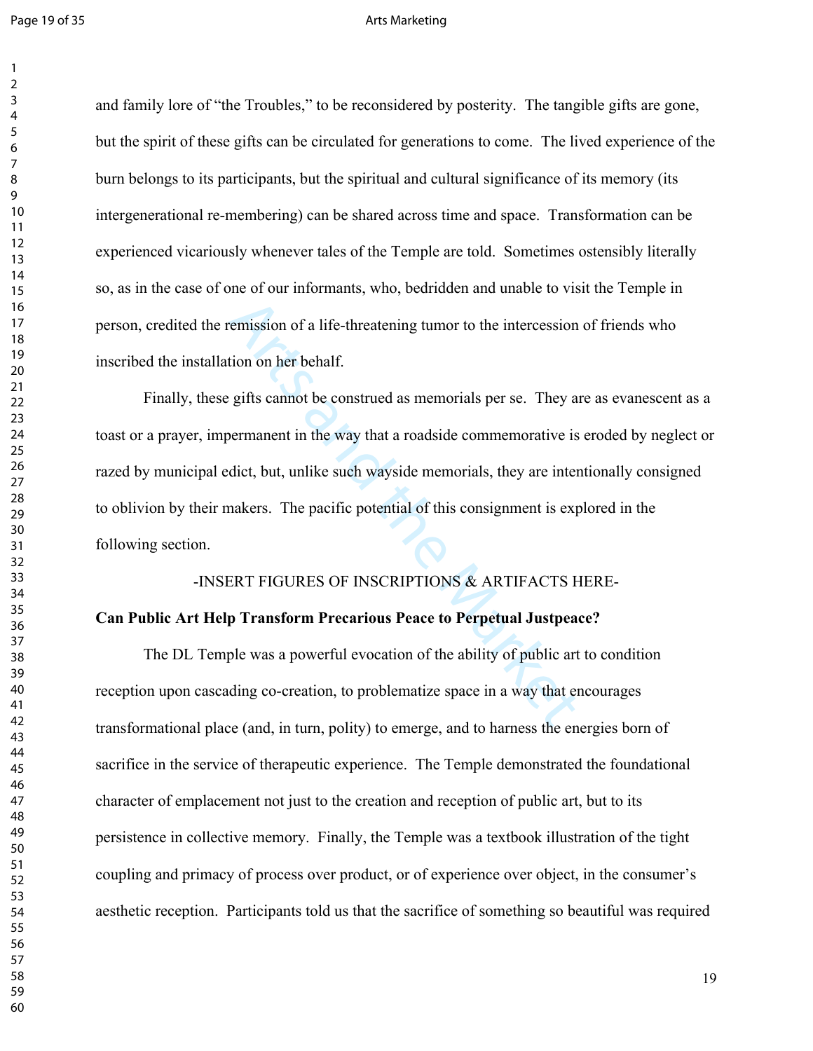$\mathbf{1}$ 

## Page 19 of 35 Arts Marketing

and family lore of "the Troubles," to be reconsidered by posterity. The tangible gifts are gone, but the spirit of these gifts can be circulated for generations to come. The lived experience of the burn belongs to its participants, but the spiritual and cultural significance of its memory (its intergenerational re-membering) can be shared across time and space. Transformation can be experienced vicariously whenever tales of the Temple are told. Sometimes ostensibly literally so, as in the case of one of our informants, who, bedridden and unable to visit the Temple in person, credited the remission of a life-threatening tumor to the intercession of friends who inscribed the installation on her behalf.

remission of a life-threatening tumor to the intercession<br>tion on her behalf.<br>gifts cannot be construed as memorials per se. They are<br>permanent in the way that a roadside commemorative is<br>dict, but, unlike such wayside mem Finally, these gifts cannot be construed as memorials per se. They are as evanescent as a toast or a prayer, impermanent in the way that a roadside commemorative is eroded by neglect or razed by municipal edict, but, unlike such wayside memorials, they are intentionally consigned to oblivion by their makers. The pacific potential of this consignment is explored in the following section.

# -INSERT FIGURES OF INSCRIPTIONS & ARTIFACTS HERE-

# **Can Public Art Help Transform Precarious Peace to Perpetual Justpeace?**

The DL Temple was a powerful evocation of the ability of public art to condition reception upon cascading co-creation, to problematize space in a way that encourages transformational place (and, in turn, polity) to emerge, and to harness the energies born of sacrifice in the service of therapeutic experience. The Temple demonstrated the foundational character of emplacement not just to the creation and reception of public art, but to its persistence in collective memory. Finally, the Temple was a textbook illustration of the tight coupling and primacy of process over product, or of experience over object, in the consumer's aesthetic reception. Participants told us that the sacrifice of something so beautiful was required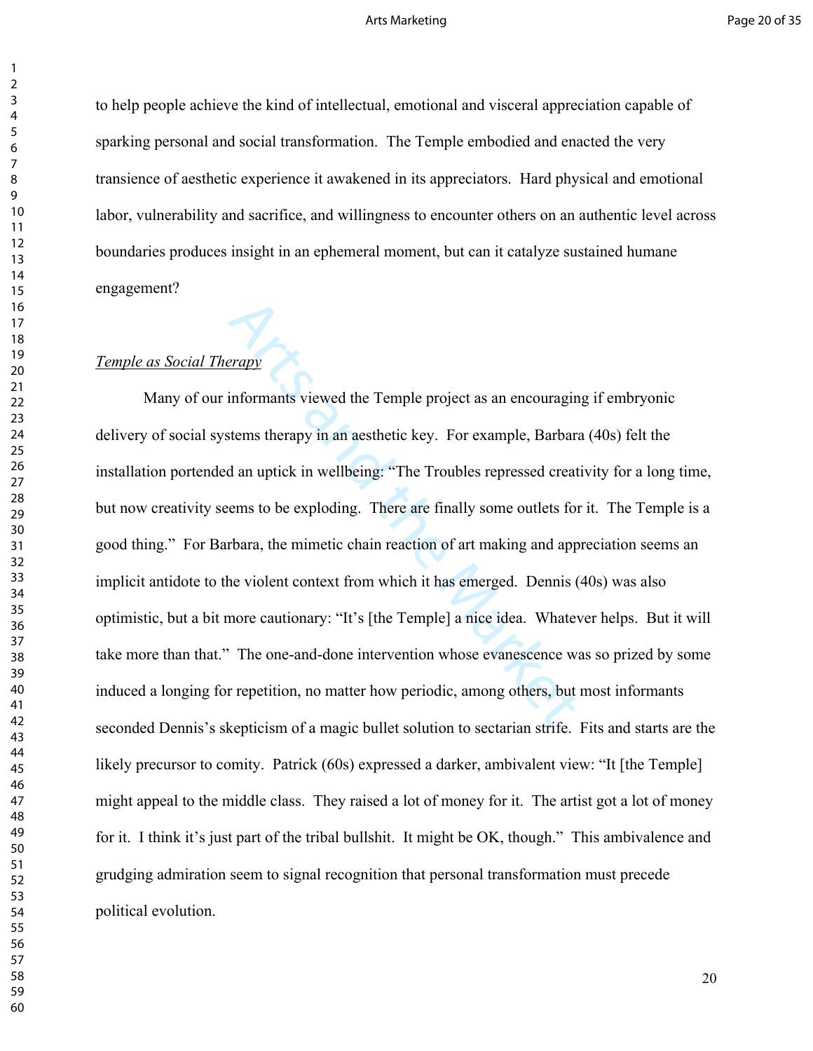to help people achieve the kind of intellectual, emotional and visceral appreciation capable of sparking personal and social transformation. The Temple embodied and enacted the very transience of aesthetic experience it awakened in its appreciators. Hard physical and emotional labor, vulnerability and sacrifice, and willingness to encounter others on an authentic level across boundaries produces insight in an ephemeral moment, but can it catalyze sustained humane engagement?

# *Temple as Social Therapy*

**Example System Startart Startart Startart Startart Startart Startart Startart Startart Startart Startart Start<br>
A an uptick in wellbeing: "The Troubles repressed creat<br>
ems to be exploding. There are finally some outlets** Many of our informants viewed the Temple project as an encouraging if embryonic delivery of social systems therapy in an aesthetic key. For example, Barbara (40s) felt the installation portended an uptick in wellbeing: "The Troubles repressed creativity for a long time, but now creativity seems to be exploding. There are finally some outlets for it. The Temple is a good thing." For Barbara, the mimetic chain reaction of art making and appreciation seems an implicit antidote to the violent context from which it has emerged. Dennis (40s) was also optimistic, but a bit more cautionary: "It's [the Temple] a nice idea. Whatever helps. But it will take more than that." The one-and-done intervention whose evanescence was so prized by some induced a longing for repetition, no matter how periodic, among others, but most informants seconded Dennis's skepticism of a magic bullet solution to sectarian strife. Fits and starts are the likely precursor to comity. Patrick (60s) expressed a darker, ambivalent view: "It [the Temple] might appeal to the middle class. They raised a lot of money for it. The artist got a lot of money for it. I think it's just part of the tribal bullshit. It might be OK, though." This ambivalence and grudging admiration seem to signal recognition that personal transformation must precede political evolution.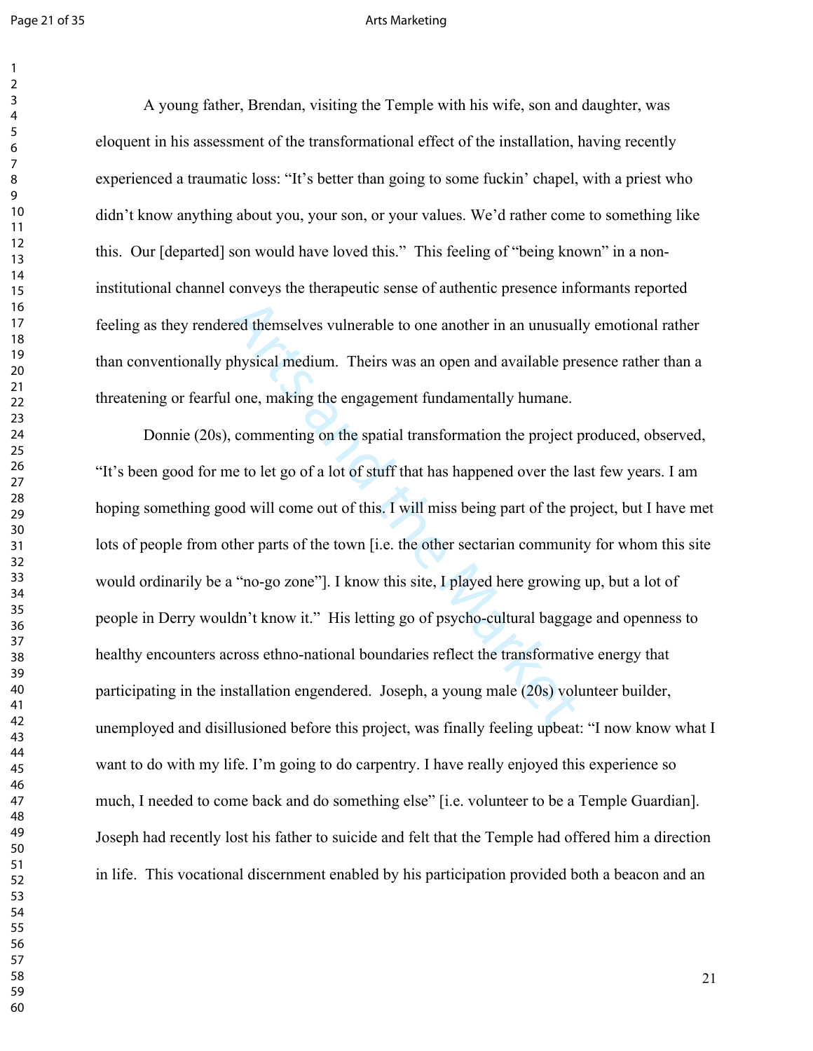$\mathbf{1}$  $\overline{2}$ 

# Page 21 of 35 Arts Marketing

A young father, Brendan, visiting the Temple with his wife, son and daughter, was eloquent in his assessment of the transformational effect of the installation, having recently experienced a traumatic loss: "It's better than going to some fuckin' chapel, with a priest who didn't know anything about you, your son, or your values. We'd rather come to something like this. Our [departed] son would have loved this." This feeling of "being known" in a noninstitutional channel conveys the therapeutic sense of authentic presence informants reported feeling as they rendered themselves vulnerable to one another in an unusually emotional rather than conventionally physical medium. Theirs was an open and available presence rather than a threatening or fearful one, making the engagement fundamentally humane.

red themselves vulnerable to one another in an unusuall<br>physical medium. Theirs was an open and available pre<br>l one, making the engagement fundamentally humane.<br>, commenting on the spatial transformation the project p<br>ne t Donnie (20s), commenting on the spatial transformation the project produced, observed, "It's been good for me to let go of a lot of stuff that has happened over the last few years. I am hoping something good will come out of this. I will miss being part of the project, but I have met lots of people from other parts of the town [i.e. the other sectarian community for whom this site would ordinarily be a "no-go zone"]. I know this site, I played here growing up, but a lot of people in Derry wouldn't know it." His letting go of psycho-cultural baggage and openness to healthy encounters across ethno-national boundaries reflect the transformative energy that participating in the installation engendered. Joseph, a young male (20s) volunteer builder, unemployed and disillusioned before this project, was finally feeling upbeat: "I now know what I want to do with my life. I'm going to do carpentry. I have really enjoyed this experience so much, I needed to come back and do something else" [i.e. volunteer to be a Temple Guardian]. Joseph had recently lost his father to suicide and felt that the Temple had offered him a direction in life. This vocational discernment enabled by his participation provided both a beacon and an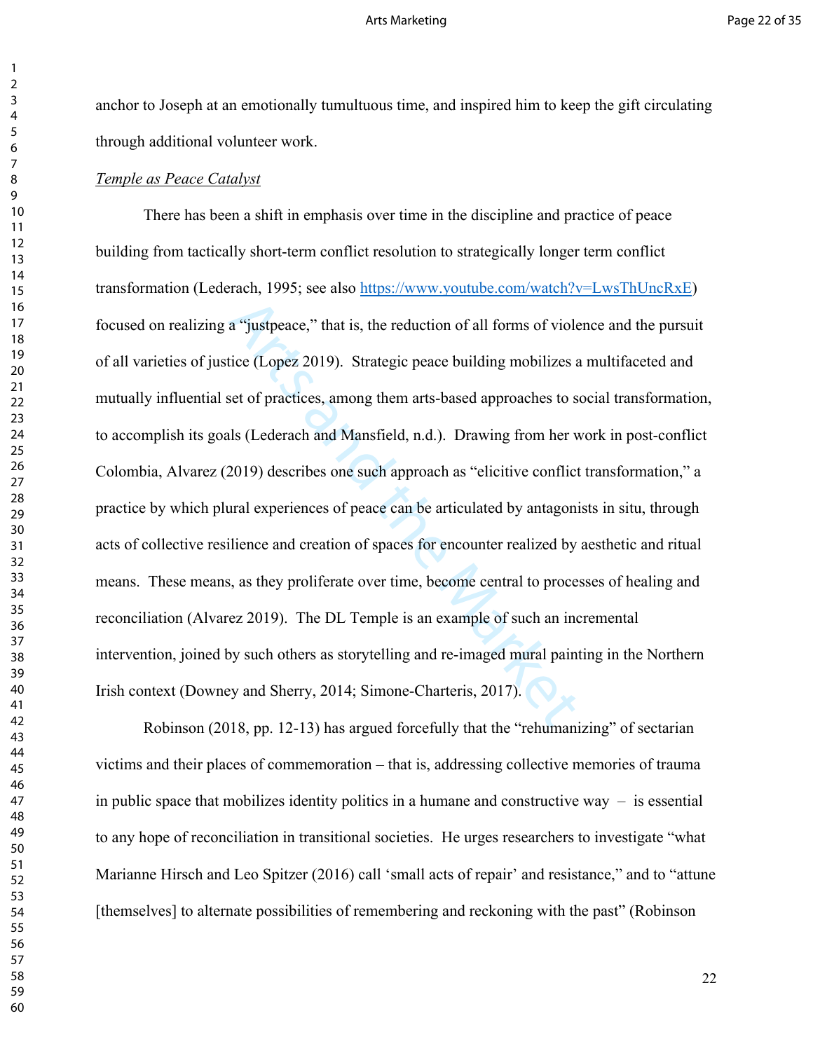anchor to Joseph at an emotionally tumultuous time, and inspired him to keep the gift circulating through additional volunteer work.

# *Temple as Peace Catalyst*

a "justpeace," that is, the reduction of all forms of viole<br>tice (Lopez 2019). Strategic peace building mobilizes a<br>set of practices, among them arts-based approaches to set<br>als (Lederach and Mansfield, n.d.). Drawing from There has been a shift in emphasis over time in the discipline and practice of peace building from tactically short-term conflict resolution to strategically longer term conflict transformation (Lederach, 1995; see also<https://www.youtube.com/watch?v=LwsThUncRxE>) focused on realizing a "justpeace," that is, the reduction of all forms of violence and the pursuit of all varieties of justice (Lopez 2019). Strategic peace building mobilizes a multifaceted and mutually influential set of practices, among them arts-based approaches to social transformation, to accomplish its goals (Lederach and Mansfield, n.d.). Drawing from her work in post-conflict Colombia, Alvarez (2019) describes one such approach as "elicitive conflict transformation," a practice by which plural experiences of peace can be articulated by antagonists in situ, through acts of collective resilience and creation of spaces for encounter realized by aesthetic and ritual means. These means, as they proliferate over time, become central to processes of healing and reconciliation (Alvarez 2019). The DL Temple is an example of such an incremental intervention, joined by such others as storytelling and re-imaged mural painting in the Northern Irish context (Downey and Sherry, 2014; Simone-Charteris, 2017).

Robinson (2018, pp. 12-13) has argued forcefully that the "rehumanizing" of sectarian victims and their places of commemoration – that is, addressing collective memories of trauma in public space that mobilizes identity politics in a humane and constructive way  $-$  is essential to any hope of reconciliation in transitional societies. He urges researchers to investigate "what Marianne Hirsch and Leo Spitzer (2016) call 'small acts of repair' and resistance," and to "attune [themselves] to alternate possibilities of remembering and reckoning with the past" (Robinson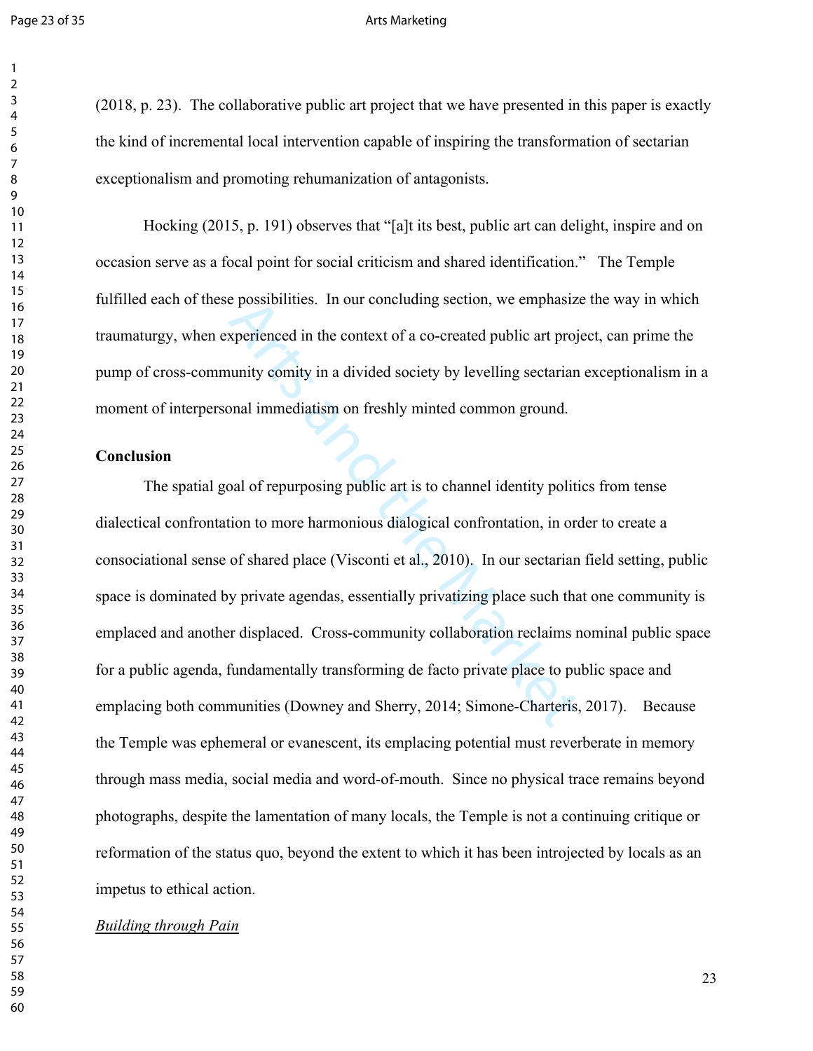$\mathbf{1}$  $\overline{2}$ 

## Page 23 of 35 Arts Marketing

(2018, p. 23). The collaborative public art project that we have presented in this paper is exactly the kind of incremental local intervention capable of inspiring the transformation of sectarian exceptionalism and promoting rehumanization of antagonists.

Hocking (2015, p. 191) observes that "[a]t its best, public art can delight, inspire and on occasion serve as a focal point for social criticism and shared identification." The Temple fulfilled each of these possibilities. In our concluding section, we emphasize the way in which traumaturgy, when experienced in the context of a co-created public art project, can prime the pump of cross-community comity in a divided society by levelling sectarian exceptionalism in a moment of interpersonal immediatism on freshly minted common ground.

## **Conclusion**

e possibilities. In our concluding section, we emphasize<br>xperienced in the context of a co-created public art proj<br>nunity comity in a divided society by levelling sectarian<br>ponal immediatism on freshly minted common ground The spatial goal of repurposing public art is to channel identity politics from tense dialectical confrontation to more harmonious dialogical confrontation, in order to create a consociational sense of shared place (Visconti et al., 2010). In our sectarian field setting, public space is dominated by private agendas, essentially privatizing place such that one community is emplaced and another displaced. Cross-community collaboration reclaims nominal public space for a public agenda, fundamentally transforming de facto private place to public space and emplacing both communities (Downey and Sherry, 2014; Simone-Charteris, 2017). Because the Temple was ephemeral or evanescent, its emplacing potential must reverberate in memory through mass media, social media and word-of-mouth. Since no physical trace remains beyond photographs, despite the lamentation of many locals, the Temple is not a continuing critique or reformation of the status quo, beyond the extent to which it has been introjected by locals as an impetus to ethical action.

# *Building through Pain*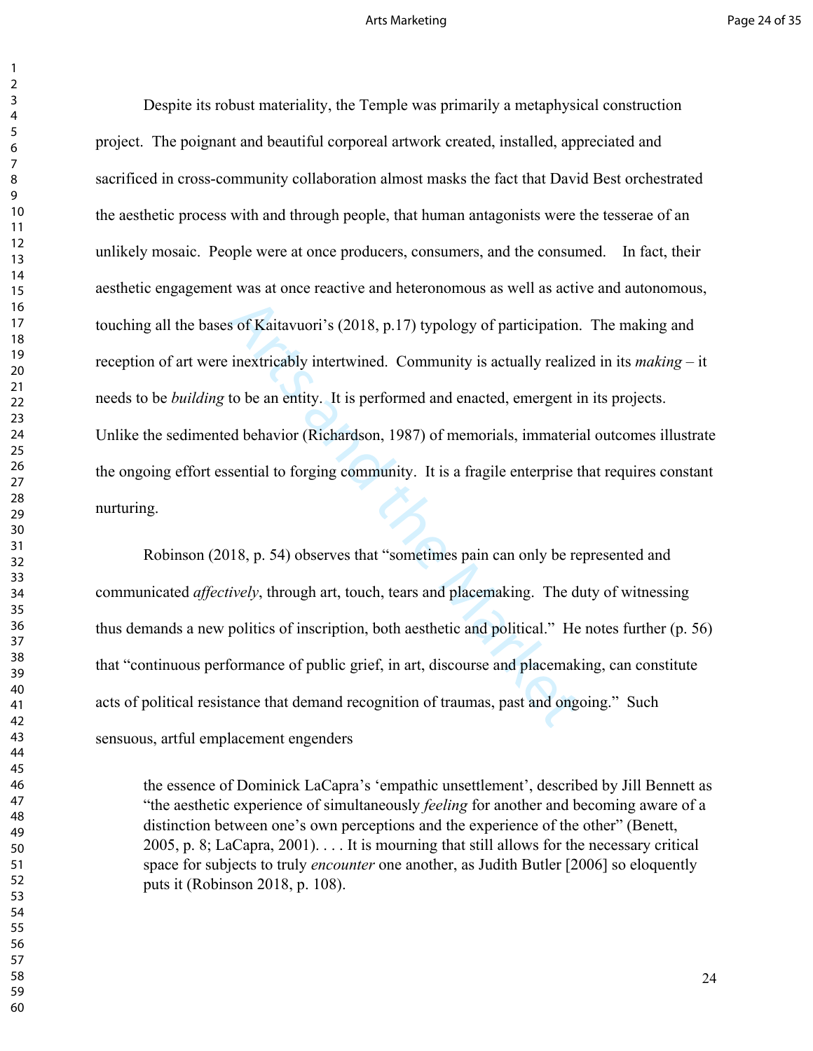#### Arts Marketing **Page 24 of 35**

of Kaitavuori's (2018, p.17) typology of participation.<br>
inextricably intertwined. Community is actually realize<br>
to be an entity. It is performed and enacted, emergent is<br>
debehavior (Richardson, 1987) of memorials, immat Despite its robust materiality, the Temple was primarily a metaphysical construction project. The poignant and beautiful corporeal artwork created, installed, appreciated and sacrificed in cross-community collaboration almost masks the fact that David Best orchestrated the aesthetic process with and through people, that human antagonists were the tesserae of an unlikely mosaic. People were at once producers, consumers, and the consumed. In fact, their aesthetic engagement was at once reactive and heteronomous as well as active and autonomous, touching all the bases of Kaitavuori's (2018, p.17) typology of participation. The making and reception of art were inextricably intertwined. Community is actually realized in its *making* – it needs to be *building* to be an entity. It is performed and enacted, emergent in its projects. Unlike the sedimented behavior (Richardson, 1987) of memorials, immaterial outcomes illustrate the ongoing effort essential to forging community. It is a fragile enterprise that requires constant nurturing.

Robinson (2018, p. 54) observes that "sometimes pain can only be represented and communicated *affectively*, through art, touch, tears and placemaking. The duty of witnessing thus demands a new politics of inscription, both aesthetic and political." He notes further (p. 56) that "continuous performance of public grief, in art, discourse and placemaking, can constitute acts of political resistance that demand recognition of traumas, past and ongoing." Such sensuous, artful emplacement engenders

the essence of Dominick LaCapra's 'empathic unsettlement', described by Jill Bennett as "the aesthetic experience of simultaneously *feeling* for another and becoming aware of a distinction between one's own perceptions and the experience of the other" (Benett, 2005, p. 8; LaCapra, 2001). . . . It is mourning that still allows for the necessary critical space for subjects to truly *encounter* one another, as Judith Butler [2006] so eloquently puts it (Robinson 2018, p. 108).

 $\overline{2}$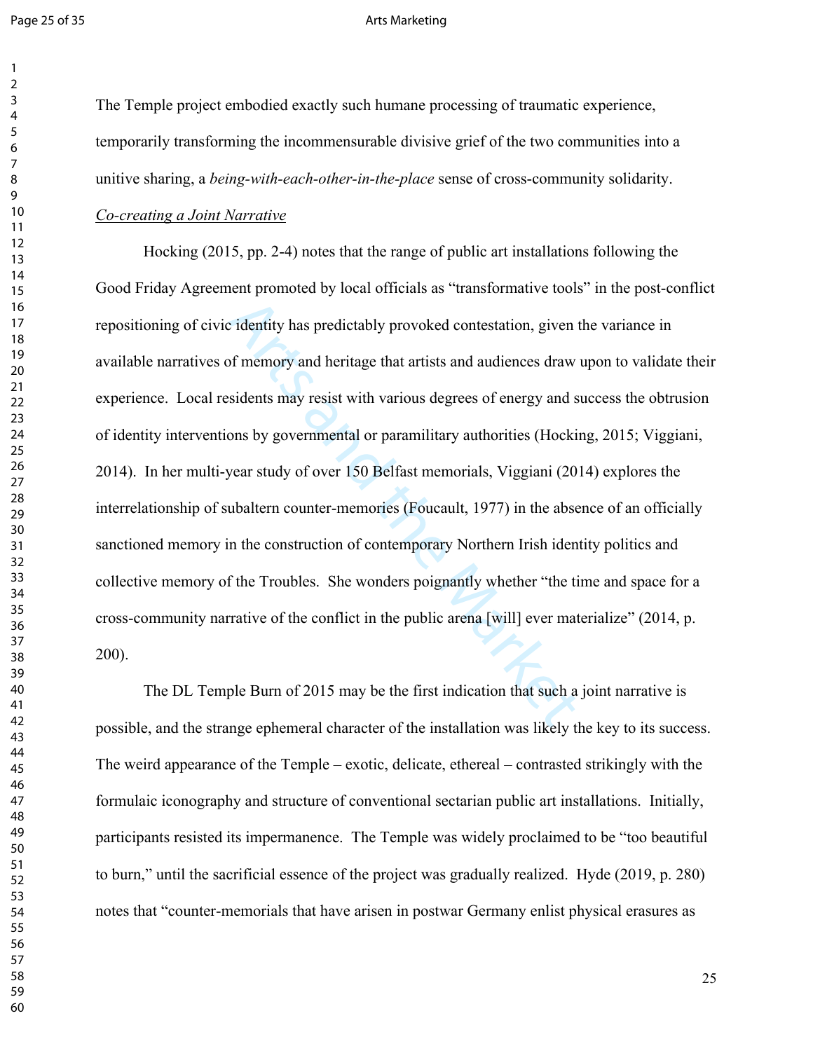$\mathbf{1}$ 

#### Page 25 of 35 Arts Marketing

The Temple project embodied exactly such humane processing of traumatic experience, temporarily transforming the incommensurable divisive grief of the two communities into a unitive sharing, a *being-with-each-other-in-the-place* sense of cross-community solidarity.

# *Co-creating a Joint Narrative*

The intertwined and audiences draw<br>
Article in the Marketter of memory and heritage that artists and audiences draw<br>
Article may resist with various degrees of energy and s<br>
ons by governmental or paramilitary authorities Hocking (2015, pp. 2-4) notes that the range of public art installations following the Good Friday Agreement promoted by local officials as "transformative tools" in the post-conflict repositioning of civic identity has predictably provoked contestation, given the variance in available narratives of memory and heritage that artists and audiences draw upon to validate their experience. Local residents may resist with various degrees of energy and success the obtrusion of identity interventions by governmental or paramilitary authorities (Hocking, 2015; Viggiani, 2014). In her multi-year study of over 150 Belfast memorials, Viggiani (2014) explores the interrelationship of subaltern counter-memories (Foucault, 1977) in the absence of an officially sanctioned memory in the construction of contemporary Northern Irish identity politics and collective memory of the Troubles. She wonders poignantly whether "the time and space for a cross-community narrative of the conflict in the public arena [will] ever materialize" (2014, p. 200).

The DL Temple Burn of 2015 may be the first indication that such a joint narrative is possible, and the strange ephemeral character of the installation was likely the key to its success. The weird appearance of the Temple – exotic, delicate, ethereal – contrasted strikingly with the formulaic iconography and structure of conventional sectarian public art installations. Initially, participants resisted its impermanence. The Temple was widely proclaimed to be "too beautiful to burn," until the sacrificial essence of the project was gradually realized. Hyde (2019, p. 280) notes that "counter-memorials that have arisen in postwar Germany enlist physical erasures as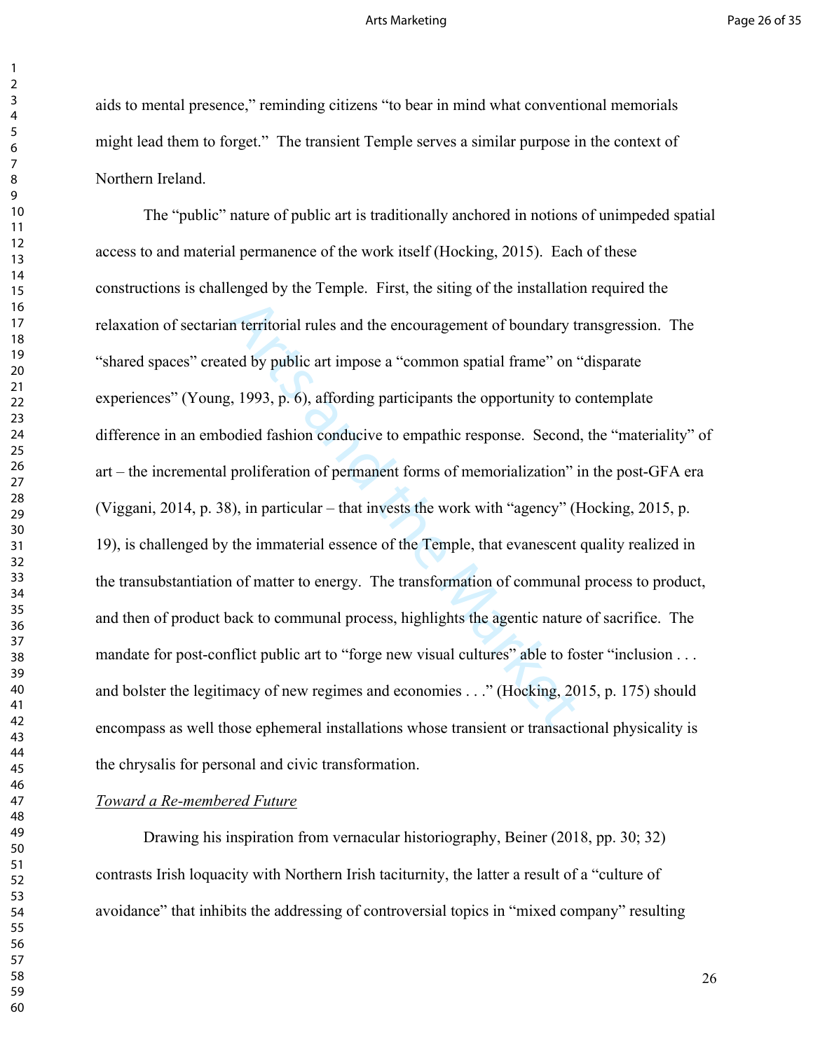aids to mental presence," reminding citizens "to bear in mind what conventional memorials might lead them to forget." The transient Temple serves a similar purpose in the context of Northern Ireland.

In territorial rules and the encouragement of boundary to<br>ted by public art impose a "common spatial frame" on "<br>I<sub>5</sub>, 1993, p. 6), affording participants the opportunity to codied fashion conducive to empathic response. S The "public" nature of public art is traditionally anchored in notions of unimpeded spatial access to and material permanence of the work itself (Hocking, 2015). Each of these constructions is challenged by the Temple. First, the siting of the installation required the relaxation of sectarian territorial rules and the encouragement of boundary transgression. The "shared spaces" created by public art impose a "common spatial frame" on "disparate experiences" (Young, 1993, p. 6), affording participants the opportunity to contemplate difference in an embodied fashion conducive to empathic response. Second, the "materiality" of art – the incremental proliferation of permanent forms of memorialization" in the post-GFA era (Viggani, 2014, p. 38), in particular – that invests the work with "agency" (Hocking, 2015, p. 19), is challenged by the immaterial essence of the Temple, that evanescent quality realized in the transubstantiation of matter to energy. The transformation of communal process to product, and then of product back to communal process, highlights the agentic nature of sacrifice. The mandate for post-conflict public art to "forge new visual cultures" able to foster "inclusion . . . and bolster the legitimacy of new regimes and economies . . ." (Hocking, 2015, p. 175) should encompass as well those ephemeral installations whose transient or transactional physicality is the chrysalis for personal and civic transformation.

# *Toward a Re-membered Future*

Drawing his inspiration from vernacular historiography, Beiner (2018, pp. 30; 32) contrasts Irish loquacity with Northern Irish taciturnity, the latter a result of a "culture of avoidance" that inhibits the addressing of controversial topics in "mixed company" resulting

 $\mathbf{1}$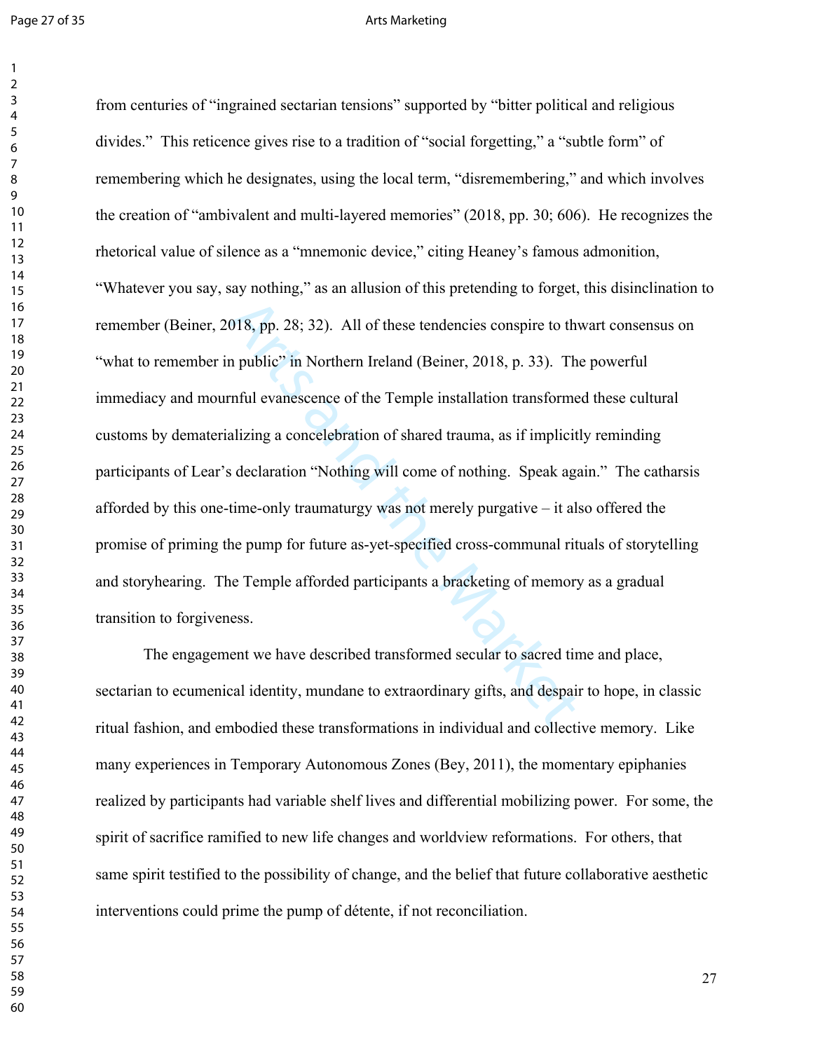$\mathbf{1}$ 

# Page 27 of 35 Arts Marketing

018, pp. 28; 32). All of these tendencies conspire to the multic" in Northern Ireland (Beiner, 2018, p. 33). The multic vanescence of the Temple installation transformer alizing a concelebration of shared trauma, as if imp from centuries of "ingrained sectarian tensions" supported by "bitter political and religious divides." This reticence gives rise to a tradition of "social forgetting," a "subtle form" of remembering which he designates, using the local term, "disremembering," and which involves the creation of "ambivalent and multi-layered memories" (2018, pp. 30; 606). He recognizes the rhetorical value of silence as a "mnemonic device," citing Heaney's famous admonition, "Whatever you say, say nothing," as an allusion of this pretending to forget, this disinclination to remember (Beiner, 2018, pp. 28; 32). All of these tendencies conspire to thwart consensus on "what to remember in public" in Northern Ireland (Beiner, 2018, p. 33). The powerful immediacy and mournful evanescence of the Temple installation transformed these cultural customs by dematerializing a concelebration of shared trauma, as if implicitly reminding participants of Lear's declaration "Nothing will come of nothing. Speak again." The catharsis afforded by this one-time-only traumaturgy was not merely purgative – it also offered the promise of priming the pump for future as-yet-specified cross-communal rituals of storytelling and storyhearing. The Temple afforded participants a bracketing of memory as a gradual transition to forgiveness.

The engagement we have described transformed secular to sacred time and place, sectarian to ecumenical identity, mundane to extraordinary gifts, and despair to hope, in classic ritual fashion, and embodied these transformations in individual and collective memory. Like many experiences in Temporary Autonomous Zones (Bey, 2011), the momentary epiphanies realized by participants had variable shelf lives and differential mobilizing power. For some, the spirit of sacrifice ramified to new life changes and worldview reformations. For others, that same spirit testified to the possibility of change, and the belief that future collaborative aesthetic interventions could prime the pump of détente, if not reconciliation.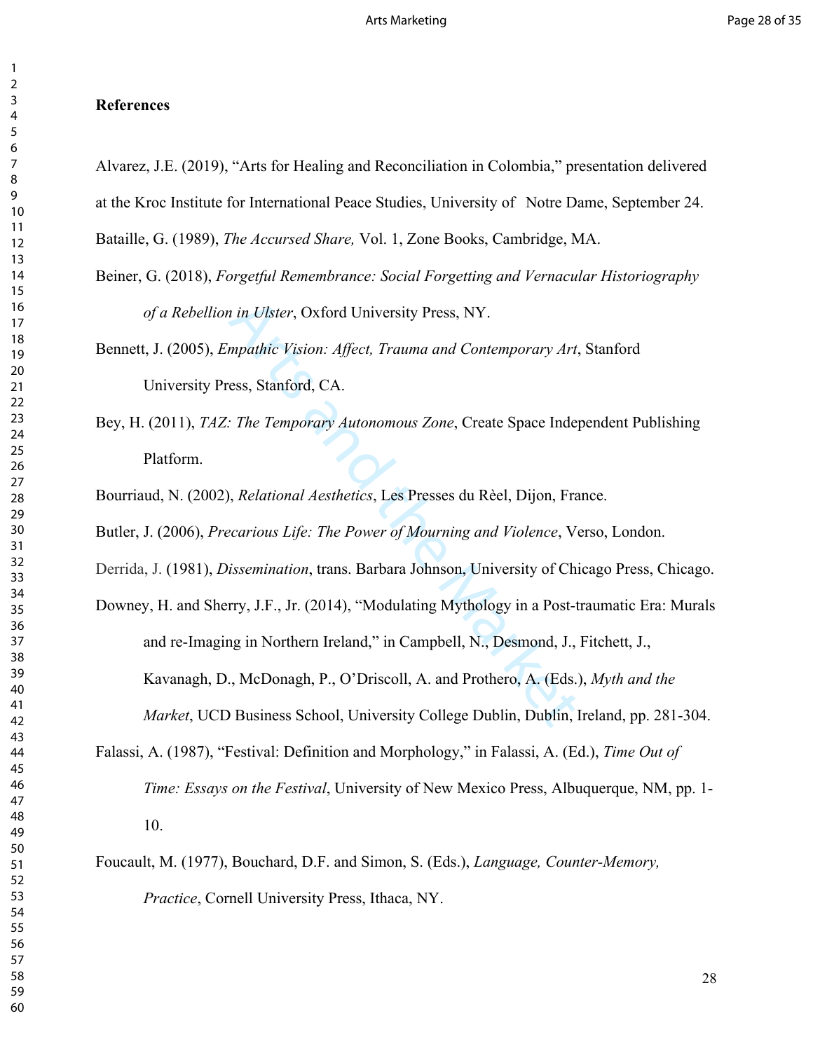# **References**

Alvarez, J.E. (2019), "Arts for Healing and Reconciliation in Colombia," presentation delivered at the Kroc Institute for International Peace Studies, University of Notre Dame, September 24. Bataille, G. (1989), *The Accursed Share,* Vol. 1, Zone Books, Cambridge, MA.

Beiner, G. (2018), *Forgetful Remembrance: Social Forgetting and Vernacular Historiography of a Rebellion in Ulster*, Oxford University Press, NY.

Bennett, J. (2005), *Empathic Vision: Affect, Trauma and Contemporary Art*, Stanford University Press, Stanford, CA.

Bey, H. (2011), *TAZ: The Temporary Autonomous Zone*, Create Space Independent Publishing Platform.

Bourriaud, N. (2002), *Relational Aesthetics*, Les Presses du Rèel, Dijon, France.

Butler, J. (2006), *Precarious Life: The Power of Mourning and Violence*, Verso, London.

Derrida, J. (1981), *Dissemination*, trans. Barbara Johnson, University of Chicago Press, Chicago.

*n in Ulster*, Oxford University Press, NY.<br> *mpathic Vision: Affect, Trauma and Contemporary Art,*<br>
ess, Stanford, CA.<br> *The Temporary Autonomous Zone*, Create Space Inde<br> **1.**<br> *A. Relational Aesthetics*, Les Presses du Downey, H. and Sherry, J.F., Jr. (2014), "Modulating Mythology in a Post-traumatic Era: Murals and re-Imaging in Northern Ireland," in Campbell, N., Desmond, J., Fitchett, J., Kavanagh, D., McDonagh, P., O'Driscoll, A. and Prothero, A. (Eds.), *Myth and the Market*, UCD Business School, University College Dublin, Dublin, Ireland, pp. 281-304.

Falassi, A. (1987), "Festival: Definition and Morphology," in Falassi, A. (Ed.), *Time Out of Time: Essays on the Festival*, University of New Mexico Press, Albuquerque, NM, pp. 1- 10.

Foucault, M. (1977), Bouchard, D.F. and Simon, S. (Eds.), *Language, Counter-Memory, Practice*, Cornell University Press, Ithaca, NY.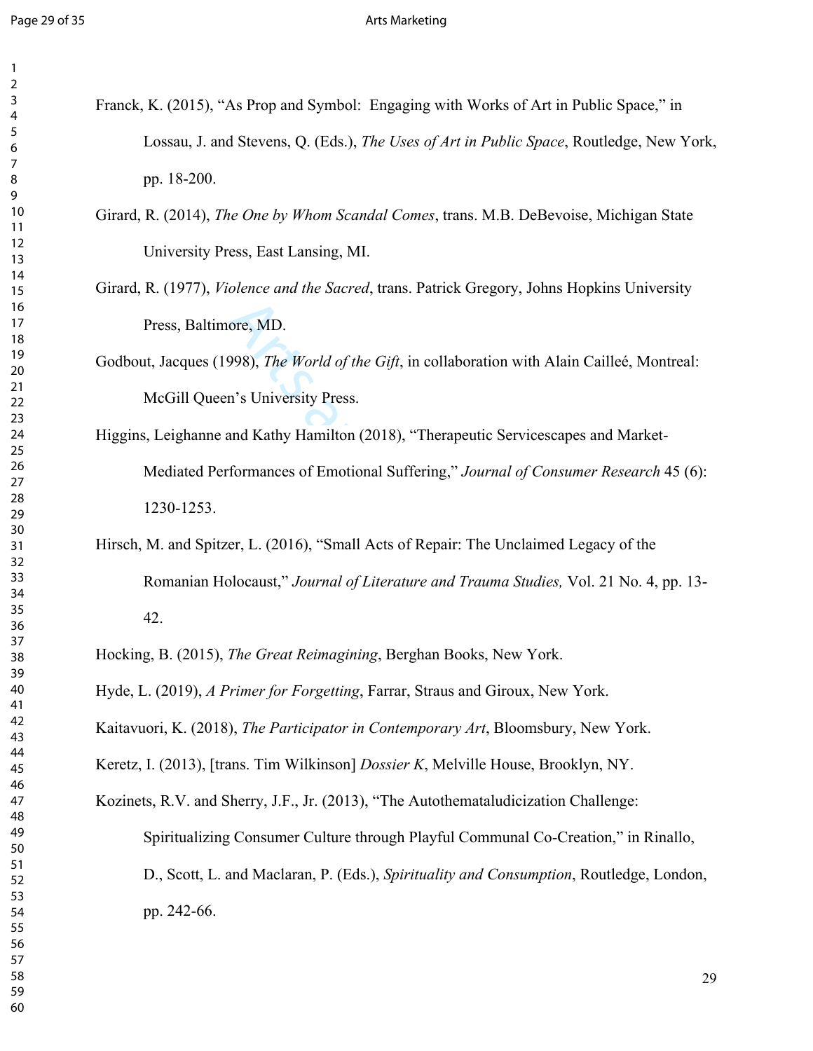| 1                            |  |
|------------------------------|--|
| ,                            |  |
| 3                            |  |
| 4                            |  |
| 5                            |  |
| 6                            |  |
|                              |  |
| 8                            |  |
| ι<br>€                       |  |
|                              |  |
| 10                           |  |
| 1<br>1                       |  |
| 1<br>2                       |  |
| 3<br>1                       |  |
| 1<br>4                       |  |
| 15                           |  |
| 16                           |  |
| 1                            |  |
| 18                           |  |
| 19                           |  |
| 20                           |  |
| $\overline{21}$              |  |
| $\overline{2}$<br>,          |  |
| $\overline{2}$<br>ξ          |  |
| $\frac{2}{4}$                |  |
| 25                           |  |
| 26                           |  |
|                              |  |
| $\overline{2}$               |  |
| 28                           |  |
| 29                           |  |
| 30                           |  |
| $\overline{\textbf{3}}$      |  |
| $\overline{\mathbf{3}}$<br>, |  |
| $\overline{\mathbf{3}}$<br>ξ |  |
| 34                           |  |
| 35                           |  |
| 36                           |  |
| 37                           |  |
| 88                           |  |
| 39                           |  |
| 40                           |  |
| 41                           |  |
| 42                           |  |
| 43                           |  |
| 44                           |  |
|                              |  |
| 45                           |  |
| 46                           |  |
| 47                           |  |
| 48                           |  |
| 49                           |  |
| 50                           |  |
| 51                           |  |
| 5.<br>フ                      |  |
| 53                           |  |
| 54                           |  |
| 55                           |  |
| 56                           |  |
| 57                           |  |
| 58                           |  |
|                              |  |
| 59                           |  |
| 60                           |  |

| Franck, K. (2015), "As Prop and Symbol: Engaging with Works of Art in Public Space," in  |
|------------------------------------------------------------------------------------------|
| Lossau, J. and Stevens, Q. (Eds.), The Uses of Art in Public Space, Routledge, New York, |
| pp. 18-200.                                                                              |

- Girard, R. (2014), *The One by Whom Scandal Comes*, trans. M.B. DeBevoise, Michigan State University Press, East Lansing, MI.
- Girard, R. (1977), *Violence and the Sacred*, trans. Patrick Gregory, Johns Hopkins University Press, Baltimore, MD.
- Godbout, Jacques (1998), *The World of the Gift*, in collaboration with Alain Cailleé, Montreal: McGill Queen's University Press.
- ore, MD.<br>
998), *The World of the Gift*, in collaboration with Alain<br>
n's University Press.<br>
and Kathy Hamilton (2018), "Therapeutic Servicescape<br>
formances of Emotional Suffering," *Journal of Consum*<br>
er, L. (2016), "Sma Higgins, Leighanne and Kathy Hamilton (2018), "Therapeutic Servicescapes and Market-Mediated Performances of Emotional Suffering," *Journal of Consumer Research* 45 (6): 1230-1253.
- Hirsch, M. and Spitzer, L. (2016), "Small Acts of Repair: The Unclaimed Legacy of the Romanian Holocaust," *Journal of Literature and Trauma Studies,* Vol. 21 No. 4, pp. 13- 42.
- Hocking, B. (2015), *The Great Reimagining*, Berghan Books, New York.
- Hyde, L. (2019), *A Primer for Forgetting*, Farrar, Straus and Giroux, New York.
- Kaitavuori, K. (2018), *The Participator in Contemporary Art*, Bloomsbury, New York.
- Keretz, I. (2013), [trans. Tim Wilkinson] *Dossier K*, Melville House, Brooklyn, NY.

Kozinets, R.V. and Sherry, J.F., Jr. (2013), "The Autothemataludicization Challenge: Spiritualizing Consumer Culture through Playful Communal Co-Creation," in Rinallo, D., Scott, L. and Maclaran, P. (Eds.), *Spirituality and Consumption*, Routledge, London, pp. 242-66.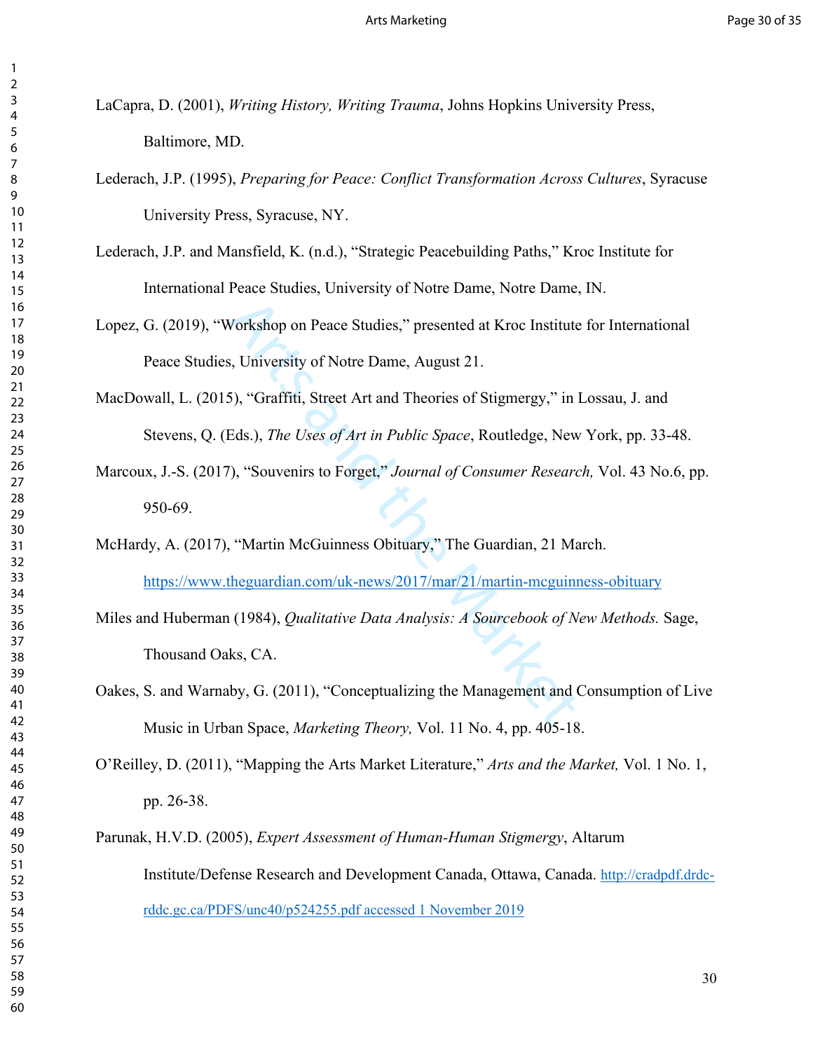- LaCapra, D. (2001), *Writing History, Writing Trauma*, Johns Hopkins University Press, Baltimore, MD.
- Lederach, J.P. (1995), *Preparing for Peace: Conflict Transformation Across Cultures*, Syracuse University Press, Syracuse, NY.
- Lederach, J.P. and Mansfield, K. (n.d.), "Strategic Peacebuilding Paths," Kroc Institute for International Peace Studies, University of Notre Dame, Notre Dame, IN.
- Vorkshop on Peace Studies," presented at Kroc Institute<br>
S, University of Notre Dame, August 21.<br>
5), "Graffiti, Street Art and Theories of Stigmergy," in 1<br>
Eds.), *The Uses of Art in Public Space*, Routledge, New<br>
1), " Lopez, G. (2019), "Workshop on Peace Studies," presented at Kroc Institute for International Peace Studies, University of Notre Dame, August 21.
- MacDowall, L. (2015), "Graffiti, Street Art and Theories of Stigmergy," in Lossau, J. and Stevens, Q. (Eds.), *The Uses of Art in Public Space*, Routledge, New York, pp. 33-48.
- Marcoux, J.-S. (2017), "Souvenirs to Forget," *Journal of Consumer Research,* Vol. 43 No.6, pp. 950-69.
- McHardy, A. (2017), "Martin McGuinness Obituary," The Guardian, 21 March. <https://www.theguardian.com/uk-news/2017/mar/21/martin-mcguinness-obituary>
- Miles and Huberman (1984), *Qualitative Data Analysis: A Sourcebook of New Methods.* Sage, Thousand Oaks, CA.
- Oakes, S. and Warnaby, G. (2011), "Conceptualizing the Management and Consumption of Live Music in Urban Space, *Marketing Theory,* Vol. 11 No. 4, pp. 405-18.
- O'Reilley, D. (2011), "Mapping the Arts Market Literature," *Arts and the Market,* Vol. 1 No. 1, pp. 26-38.
- Parunak, H.V.D. (2005), *Expert Assessment of Human-Human Stigmergy*, Altarum Institute/Defense Research and Development Canada, Ottawa, Canada. [http://cradpdf.drdc](http://cradpdf.drdc-rddc.gc.ca/PDFS/unc40/p524255.pdf%20accessed%201%20November%202019)[rddc.gc.ca/PDFS/unc40/p524255.pdf accessed 1 November 2019](http://cradpdf.drdc-rddc.gc.ca/PDFS/unc40/p524255.pdf%20accessed%201%20November%202019)

 $\overline{2}$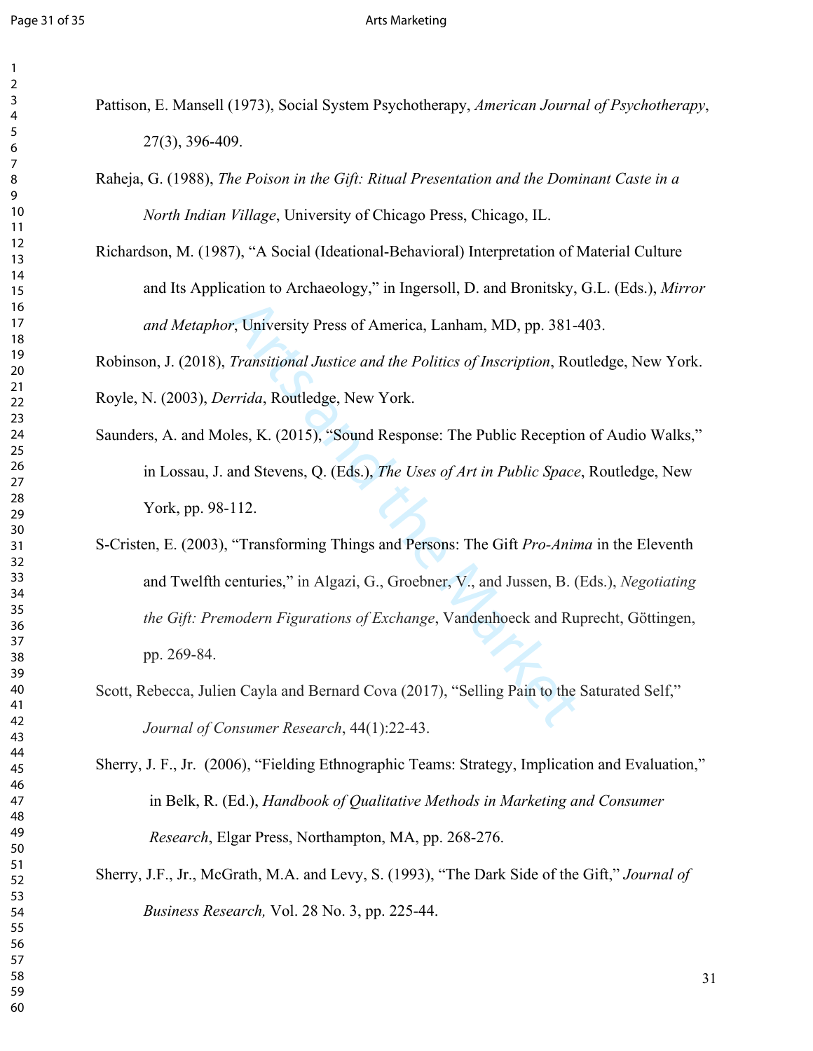$\mathbf{1}$  $\overline{2}$ 

#### Page 31 of 35 Arts Marketing

- Pattison, E. Mansell (1973), Social System Psychotherapy, *American Journal of Psychotherapy*, 27(3), 396-409.
- Raheja, G. (1988), *The Poison in the Gift: Ritual Presentation and the Dominant Caste in a North Indian Village*, University of Chicago Press, Chicago, IL.
- Richardson, M. (1987), "A Social (Ideational-Behavioral) Interpretation of Material Culture and Its Application to Archaeology," in Ingersoll, D. and Bronitsky, G.L. (Eds.), *Mirror and Metaphor*, University Press of America, Lanham, MD, pp. 381-403.

Robinson, J. (2018), *Transitional Justice and the Politics of Inscription*, Routledge, New York. Royle, N. (2003), *Derrida*, Routledge, New York.

- Saunders, A. and Moles, K. (2015), "Sound Response: The Public Reception of Audio Walks," in Lossau, J. and Stevens, Q. (Eds.), *The Uses of Art in Public Space*, Routledge, New York, pp. 98-112.
- *r*, University Press of America, Lanham, MD, pp. 381-*4*<br> *Transitional Justice and the Politics of Inscription*, Roterrida, Routledge, New York.<br>
les, K. (2015), "Sound Response: The Public Reception<br>
and Stevens, Q. (E S-Cristen, E. (2003), "Transforming Things and Persons: The Gift *Pro-Anima* in the Eleventh and Twelfth centuries," in Algazi, G., Groebner, V., and Jussen, B. (Eds.), *Negotiating the Gift: Premodern Figurations of Exchange*, Vandenhoeck and Ruprecht, Göttingen, pp. 269-84.
- Scott, Rebecca, Julien Cayla and Bernard Cova (2017), "Selling Pain to the Saturated Self," *Journal of Consumer Research*, 44(1):22-43.
- Sherry, J. F., Jr. (2006), "Fielding Ethnographic Teams: Strategy, Implication and Evaluation," in Belk, R. (Ed.), *Handbook of Qualitative Methods in Marketing and Consumer Research*, Elgar Press, Northampton, MA, pp. 268-276.
- Sherry, J.F., Jr., McGrath, M.A. and Levy, S. (1993), "The Dark Side of the Gift," *Journal of Business Research,* Vol. 28 No. 3, pp. 225-44.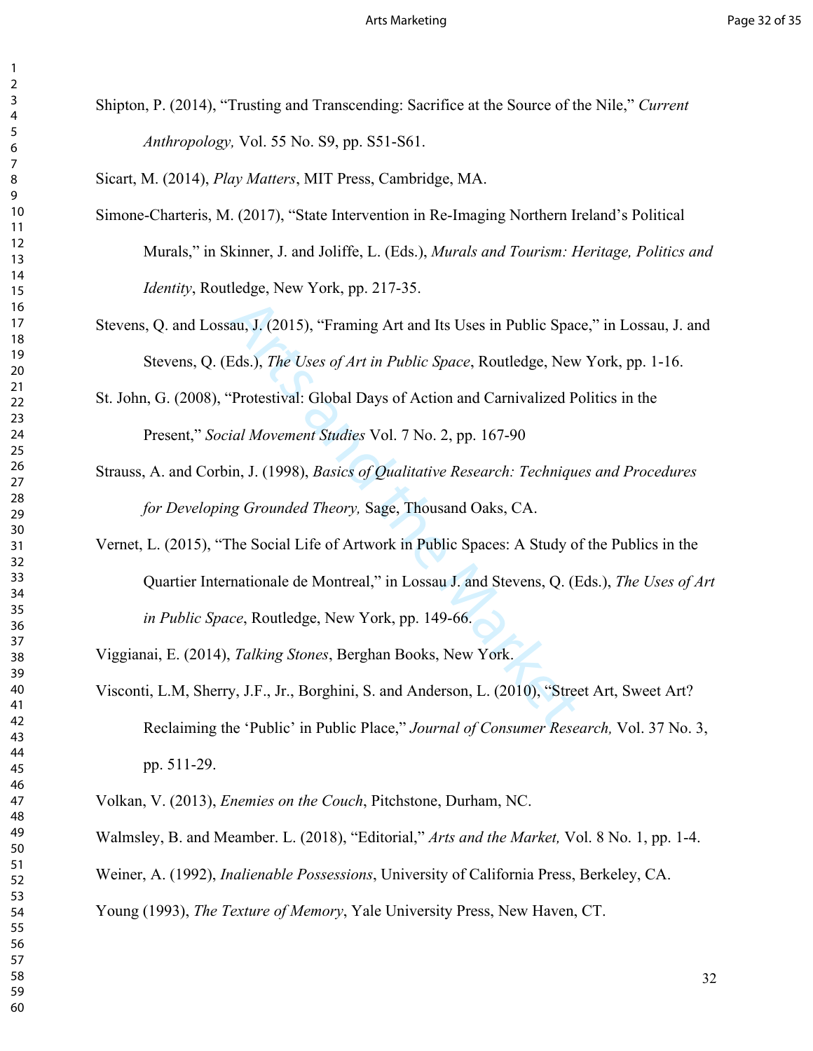Shipton, P. (2014), "Trusting and Transcending: Sacrifice at the Source of the Nile," *Current Anthropology,* Vol. 55 No. S9, pp. S51-S61.

Sicart, M. (2014), *Play Matters*, MIT Press, Cambridge, MA.

- Simone-Charteris, M. (2017), "State Intervention in Re-Imaging Northern Ireland's Political Murals," in Skinner, J. and Joliffe, L. (Eds.), *Murals and Tourism: Heritage, Politics and Identity*, Routledge, New York, pp. 217-35.
- Stevens, Q. and Lossau, J. (2015), "Framing Art and Its Uses in Public Space," in Lossau, J. and Stevens, Q. (Eds.), *The Uses of Art in Public Space*, Routledge, New York, pp. 1-16.
- St. John, G. (2008), "Protestival: Global Days of Action and Carnivalized Politics in the Present," *Social Movement Studies* Vol. 7 No. 2, pp. 167-90
- Strauss, A. and Corbin, J. (1998), *Basics of Qualitative Research: Techniques and Procedures for Developing Grounded Theory,* Sage, Thousand Oaks, CA.
- Figure 1.12 (2015), "Framing Art and Its Uses in Public Space<br>Eds.), *The Uses of Art in Public Space*, Routledge, New<br>
"Protestival: Global Days of Action and Carnivalized Pe<br>
ial Movement Studies Vol. 7 No. 2, pp. 167-90 Vernet, L. (2015), "The Social Life of Artwork in Public Spaces: A Study of the Publics in the Quartier Internationale de Montreal," in Lossau J. and Stevens, Q. (Eds.), *The Uses of Art in Public Space*, Routledge, New York, pp. 149-66.

Viggianai, E. (2014), *Talking Stones*, Berghan Books, New York.

Visconti, L.M, Sherry, J.F., Jr., Borghini, S. and Anderson, L. (2010), "Street Art, Sweet Art? Reclaiming the 'Public' in Public Place," *Journal of Consumer Research,* Vol. 37 No. 3, pp. 511-29.

Volkan, V. (2013), *Enemies on the Couch*, Pitchstone, Durham, NC.

Walmsley, B. and Meamber. L. (2018), "Editorial," *Arts and the Market,* Vol. 8 No. 1, pp. 1-4.

Weiner, A. (1992), *Inalienable Possessions*, University of California Press, Berkeley, CA.

Young (1993), *The Texture of Memory*, Yale University Press, New Haven, CT.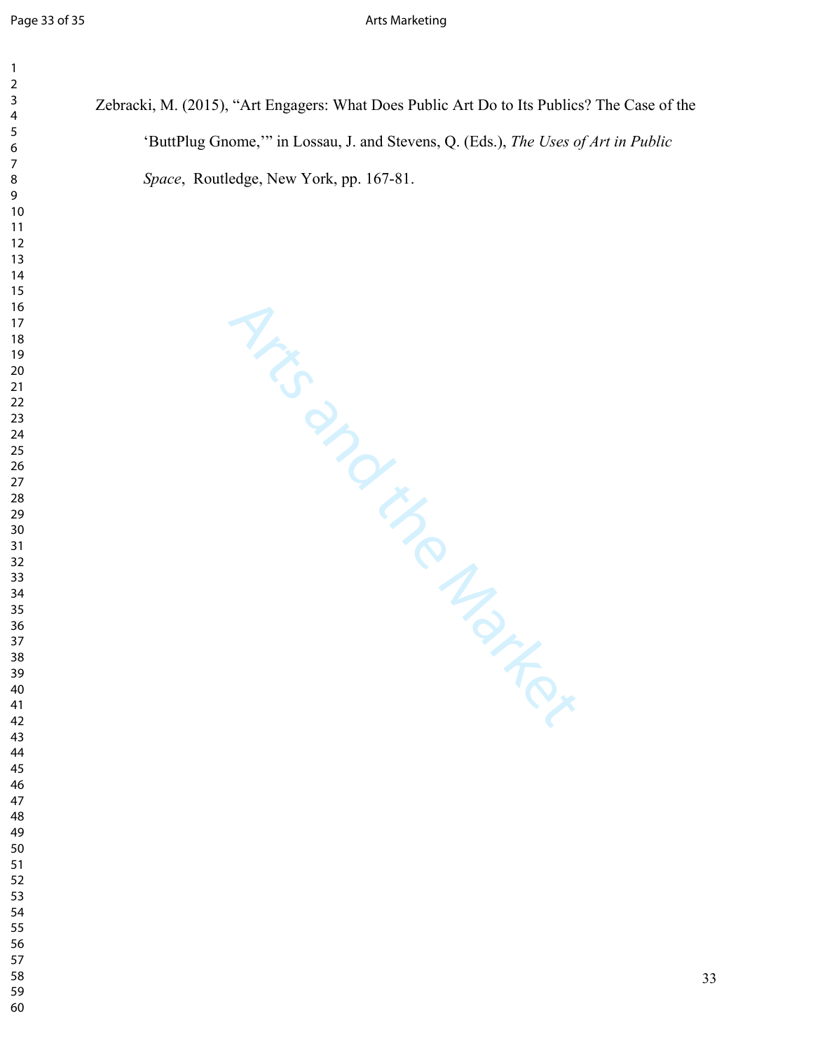$\overline{1}$ 

# Page 33 of 35 Arts Marketing

| Zebracki, M. (2015), "Art Engagers: What Does Public Art Do to Its Publics? The Case of the<br>'ButtPlug Gnome,"" in Lossau, J. and Stevens, Q. (Eds.), The Uses of Art in Public |
|-----------------------------------------------------------------------------------------------------------------------------------------------------------------------------------|
| Space, Routledge, New York, pp. 167-81.                                                                                                                                           |
|                                                                                                                                                                                   |
|                                                                                                                                                                                   |
| Artists Manuscript                                                                                                                                                                |
|                                                                                                                                                                                   |
|                                                                                                                                                                                   |
|                                                                                                                                                                                   |
|                                                                                                                                                                                   |
|                                                                                                                                                                                   |
|                                                                                                                                                                                   |
|                                                                                                                                                                                   |
|                                                                                                                                                                                   |
|                                                                                                                                                                                   |
| Fox                                                                                                                                                                               |
|                                                                                                                                                                                   |
|                                                                                                                                                                                   |
|                                                                                                                                                                                   |
|                                                                                                                                                                                   |
|                                                                                                                                                                                   |
|                                                                                                                                                                                   |
|                                                                                                                                                                                   |
|                                                                                                                                                                                   |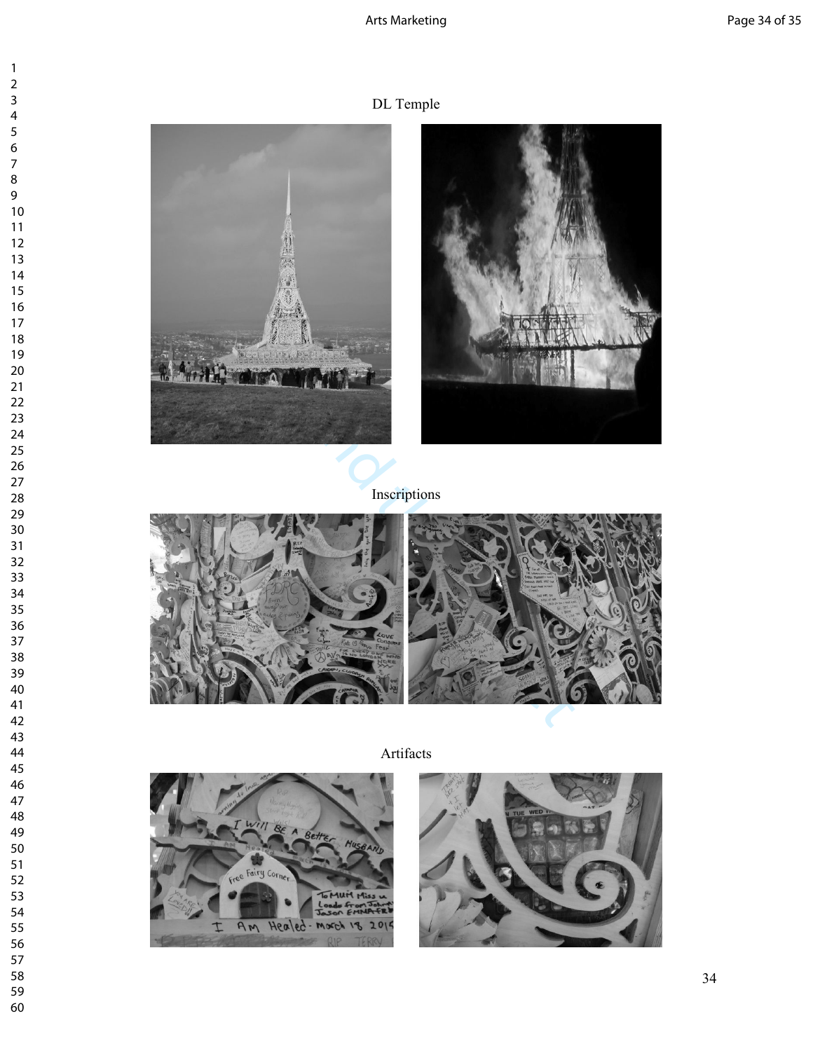

DL Temple



Inscriptions



Artifacts